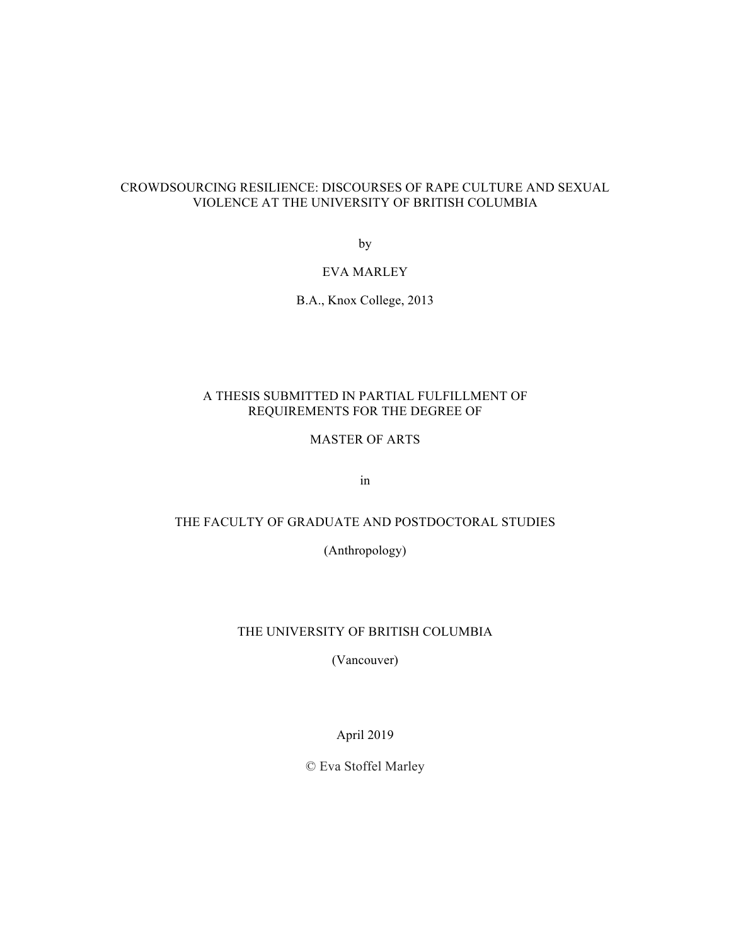# CROWDSOURCING RESILIENCE: DISCOURSES OF RAPE CULTURE AND SEXUAL VIOLENCE AT THE UNIVERSITY OF BRITISH COLUMBIA

by

# EVA MARLEY

B.A., Knox College, 2013

# A THESIS SUBMITTED IN PARTIAL FULFILLMENT OF REQUIREMENTS FOR THE DEGREE OF

# MASTER OF ARTS

in

# THE FACULTY OF GRADUATE AND POSTDOCTORAL STUDIES

(Anthropology)

# THE UNIVERSITY OF BRITISH COLUMBIA

(Vancouver)

April 2019

© Eva Stoffel Marley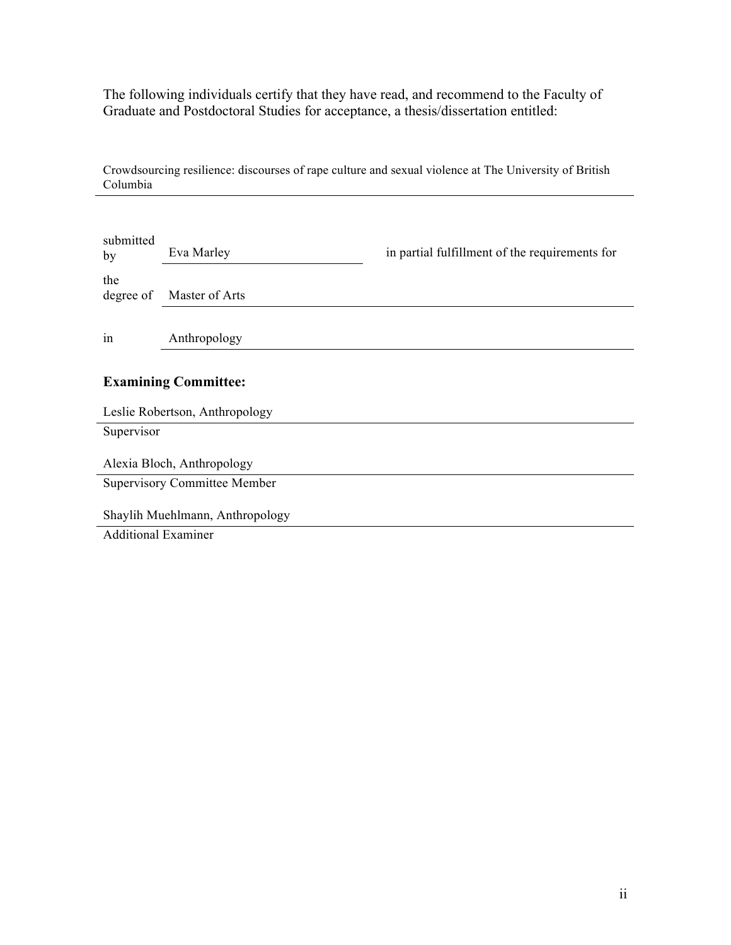The following individuals certify that they have read, and recommend to the Faculty of Graduate and Postdoctoral Studies for acceptance, a thesis/dissertation entitled:

Crowdsourcing resilience: discourses of rape culture and sexual violence at The University of British Columbia

| submitted<br>by                     | Eva Marley                  | in partial fulfillment of the requirements for |  |
|-------------------------------------|-----------------------------|------------------------------------------------|--|
| the<br>degree of                    | Master of Arts              |                                                |  |
| in                                  | Anthropology                |                                                |  |
|                                     | <b>Examining Committee:</b> |                                                |  |
| Leslie Robertson, Anthropology      |                             |                                                |  |
| Supervisor                          |                             |                                                |  |
| Alexia Bloch, Anthropology          |                             |                                                |  |
| <b>Supervisory Committee Member</b> |                             |                                                |  |
| Shaylih Muehlmann, Anthropology     |                             |                                                |  |
| <b>Additional Examiner</b>          |                             |                                                |  |
|                                     |                             |                                                |  |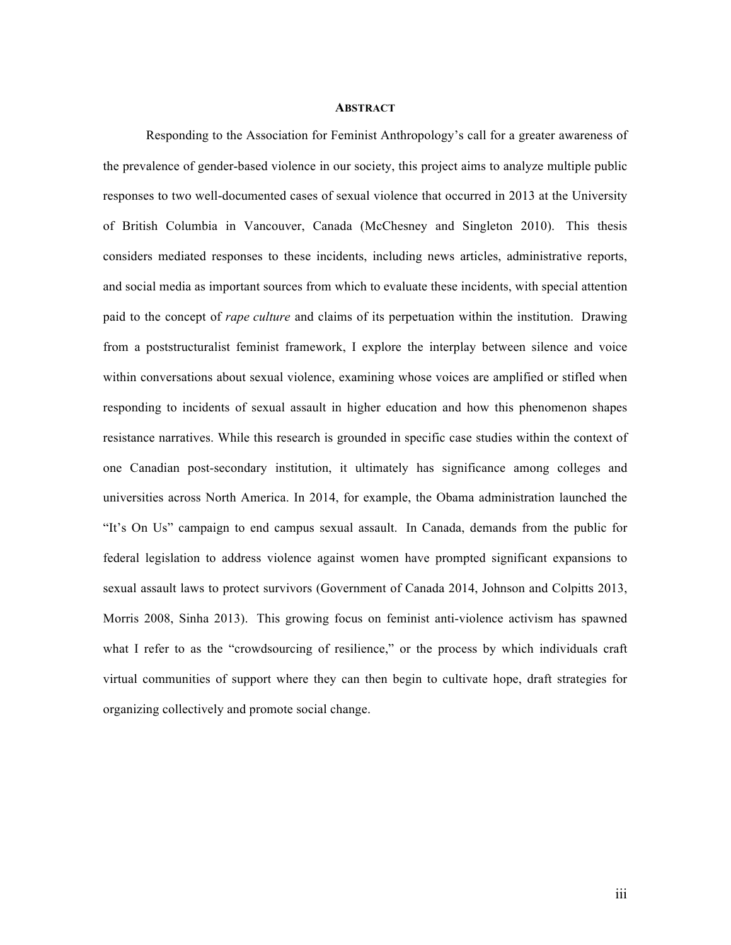## **ABSTRACT**

Responding to the Association for Feminist Anthropology's call for a greater awareness of the prevalence of gender-based violence in our society, this project aims to analyze multiple public responses to two well-documented cases of sexual violence that occurred in 2013 at the University of British Columbia in Vancouver, Canada (McChesney and Singleton 2010). This thesis considers mediated responses to these incidents, including news articles, administrative reports, and social media as important sources from which to evaluate these incidents, with special attention paid to the concept of *rape culture* and claims of its perpetuation within the institution. Drawing from a poststructuralist feminist framework, I explore the interplay between silence and voice within conversations about sexual violence, examining whose voices are amplified or stifled when responding to incidents of sexual assault in higher education and how this phenomenon shapes resistance narratives. While this research is grounded in specific case studies within the context of one Canadian post-secondary institution, it ultimately has significance among colleges and universities across North America. In 2014, for example, the Obama administration launched the "It's On Us" campaign to end campus sexual assault. In Canada, demands from the public for federal legislation to address violence against women have prompted significant expansions to sexual assault laws to protect survivors (Government of Canada 2014, Johnson and Colpitts 2013, Morris 2008, Sinha 2013). This growing focus on feminist anti-violence activism has spawned what I refer to as the "crowdsourcing of resilience," or the process by which individuals craft virtual communities of support where they can then begin to cultivate hope, draft strategies for organizing collectively and promote social change.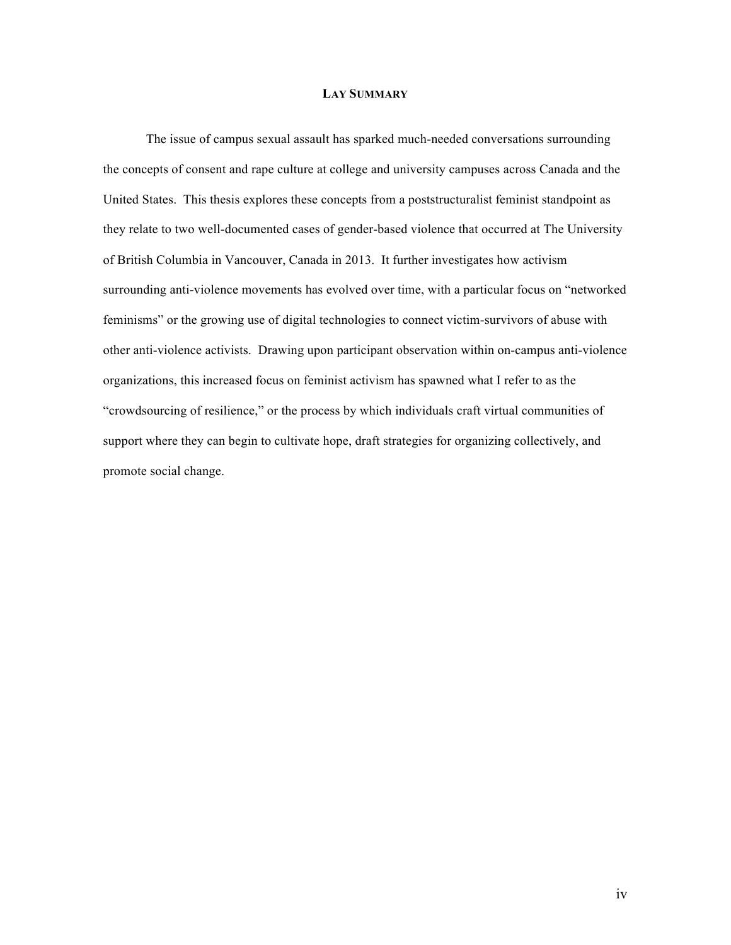# **LAY SUMMARY**

The issue of campus sexual assault has sparked much-needed conversations surrounding the concepts of consent and rape culture at college and university campuses across Canada and the United States. This thesis explores these concepts from a poststructuralist feminist standpoint as they relate to two well-documented cases of gender-based violence that occurred at The University of British Columbia in Vancouver, Canada in 2013. It further investigates how activism surrounding anti-violence movements has evolved over time, with a particular focus on "networked feminisms" or the growing use of digital technologies to connect victim-survivors of abuse with other anti-violence activists. Drawing upon participant observation within on-campus anti-violence organizations, this increased focus on feminist activism has spawned what I refer to as the "crowdsourcing of resilience," or the process by which individuals craft virtual communities of support where they can begin to cultivate hope, draft strategies for organizing collectively, and promote social change.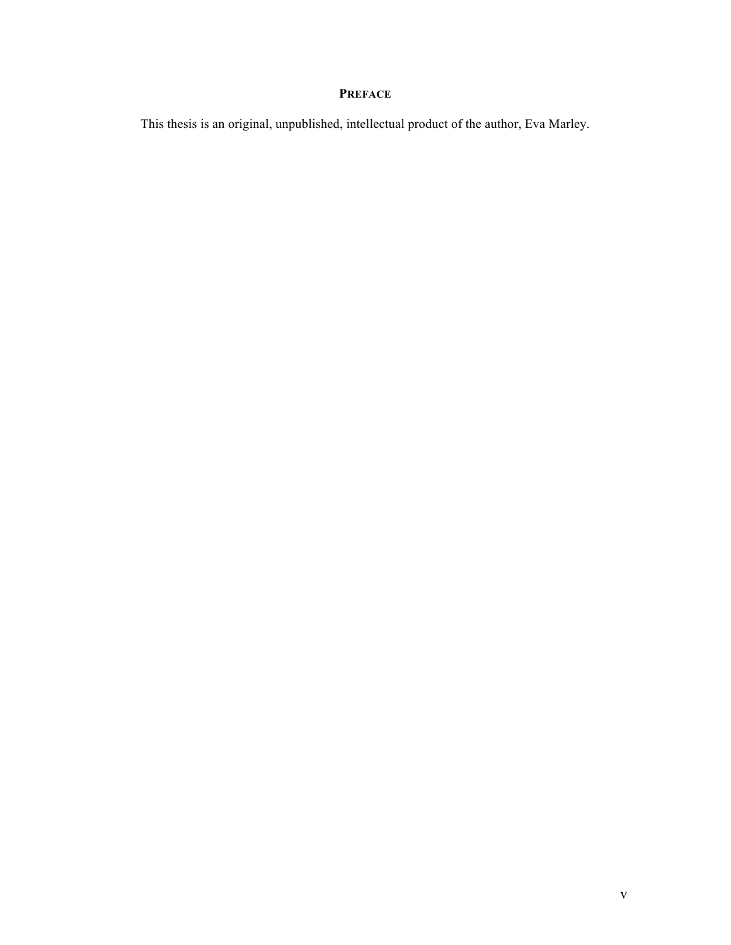# **PREFACE**

This thesis is an original, unpublished, intellectual product of the author, Eva Marley.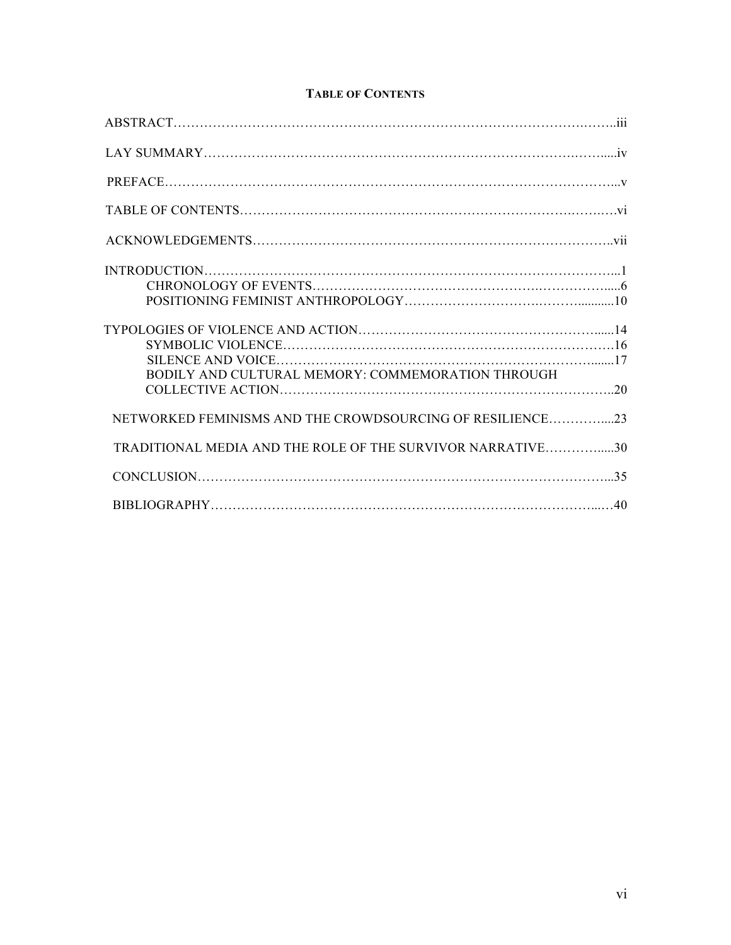# **TABLE OF CONTENTS**

| $\textbf{INTRODUCTION}.\textcolor{red}{\textbf{0.1}} \textbf{1} \textbf{2} \textbf{3} \textbf{4} \textbf{5} \textbf{6} \textbf{6} \textbf{7} \textbf{8} \textbf{8} \textbf{9} \textbf{1} \textbf{1} \textbf{1} \textbf{1} \textbf{1} \textbf{1} \textbf{1} \textbf{1} \textbf{1} \textbf{1} \textbf{1} \textbf{1} \textbf{1} \textbf{1} \textbf{1} \textbf{1} \textbf{1} \textbf{1} \textbf{1} \textbf{1} \textbf{1} \textbf{1} \$ |  |
|------------------------------------------------------------------------------------------------------------------------------------------------------------------------------------------------------------------------------------------------------------------------------------------------------------------------------------------------------------------------------------------------------------------------------------|--|
|                                                                                                                                                                                                                                                                                                                                                                                                                                    |  |
|                                                                                                                                                                                                                                                                                                                                                                                                                                    |  |
|                                                                                                                                                                                                                                                                                                                                                                                                                                    |  |
|                                                                                                                                                                                                                                                                                                                                                                                                                                    |  |
| BODILY AND CULTURAL MEMORY: COMMEMORATION THROUGH                                                                                                                                                                                                                                                                                                                                                                                  |  |
| NETWORKED FEMINISMS AND THE CROWDSOURCING OF RESILIENCE23                                                                                                                                                                                                                                                                                                                                                                          |  |
| TRADITIONAL MEDIA AND THE ROLE OF THE SURVIVOR NARRATIVE30                                                                                                                                                                                                                                                                                                                                                                         |  |
|                                                                                                                                                                                                                                                                                                                                                                                                                                    |  |
|                                                                                                                                                                                                                                                                                                                                                                                                                                    |  |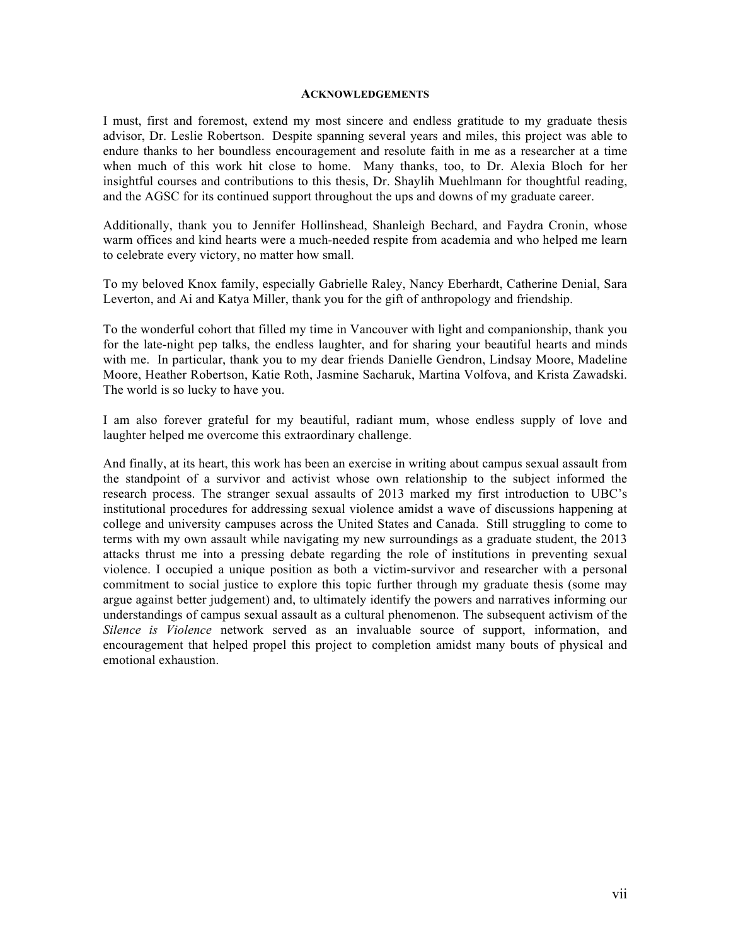#### **ACKNOWLEDGEMENTS**

I must, first and foremost, extend my most sincere and endless gratitude to my graduate thesis advisor, Dr. Leslie Robertson. Despite spanning several years and miles, this project was able to endure thanks to her boundless encouragement and resolute faith in me as a researcher at a time when much of this work hit close to home. Many thanks, too, to Dr. Alexia Bloch for her insightful courses and contributions to this thesis, Dr. Shaylih Muehlmann for thoughtful reading, and the AGSC for its continued support throughout the ups and downs of my graduate career.

Additionally, thank you to Jennifer Hollinshead, Shanleigh Bechard, and Faydra Cronin, whose warm offices and kind hearts were a much-needed respite from academia and who helped me learn to celebrate every victory, no matter how small.

To my beloved Knox family, especially Gabrielle Raley, Nancy Eberhardt, Catherine Denial, Sara Leverton, and Ai and Katya Miller, thank you for the gift of anthropology and friendship.

To the wonderful cohort that filled my time in Vancouver with light and companionship, thank you for the late-night pep talks, the endless laughter, and for sharing your beautiful hearts and minds with me. In particular, thank you to my dear friends Danielle Gendron, Lindsay Moore, Madeline Moore, Heather Robertson, Katie Roth, Jasmine Sacharuk, Martina Volfova, and Krista Zawadski. The world is so lucky to have you.

I am also forever grateful for my beautiful, radiant mum, whose endless supply of love and laughter helped me overcome this extraordinary challenge.

And finally, at its heart, this work has been an exercise in writing about campus sexual assault from the standpoint of a survivor and activist whose own relationship to the subject informed the research process. The stranger sexual assaults of 2013 marked my first introduction to UBC's institutional procedures for addressing sexual violence amidst a wave of discussions happening at college and university campuses across the United States and Canada. Still struggling to come to terms with my own assault while navigating my new surroundings as a graduate student, the 2013 attacks thrust me into a pressing debate regarding the role of institutions in preventing sexual violence. I occupied a unique position as both a victim-survivor and researcher with a personal commitment to social justice to explore this topic further through my graduate thesis (some may argue against better judgement) and, to ultimately identify the powers and narratives informing our understandings of campus sexual assault as a cultural phenomenon. The subsequent activism of the *Silence is Violence* network served as an invaluable source of support, information, and encouragement that helped propel this project to completion amidst many bouts of physical and emotional exhaustion.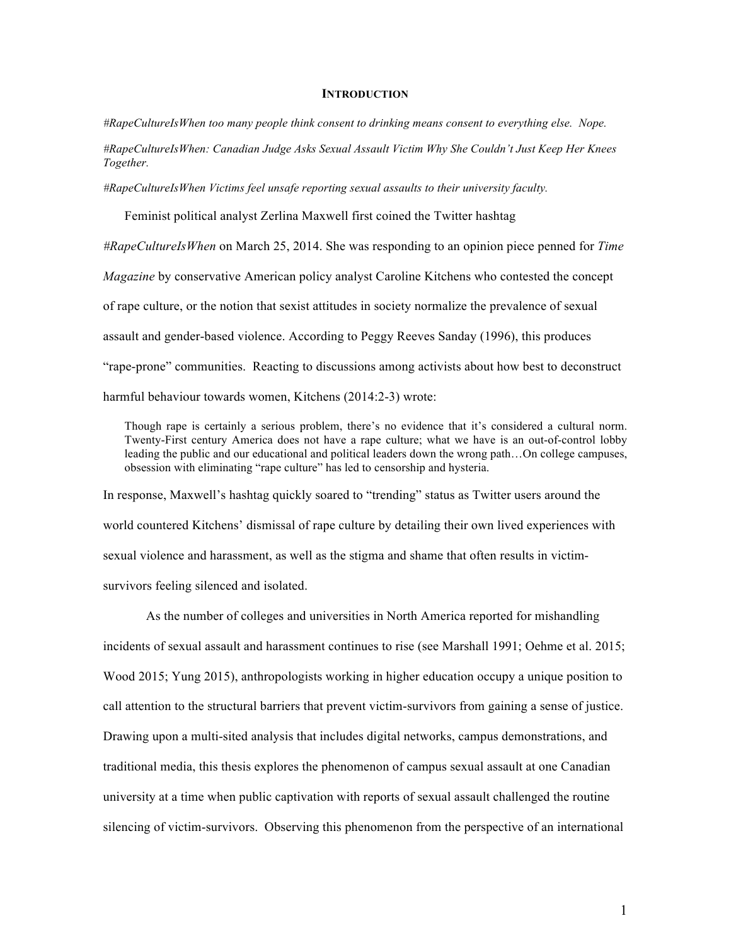#### **INTRODUCTION**

*#RapeCultureIsWhen too many people think consent to drinking means consent to everything else. Nope.*

*#RapeCultureIsWhen: Canadian Judge Asks Sexual Assault Victim Why She Couldn't Just Keep Her Knees Together.*

*#RapeCultureIsWhen Victims feel unsafe reporting sexual assaults to their university faculty.*

Feminist political analyst Zerlina Maxwell first coined the Twitter hashtag

*#RapeCultureIsWhen* on March 25, 2014. She was responding to an opinion piece penned for *Time*

*Magazine* by conservative American policy analyst Caroline Kitchens who contested the concept

of rape culture, or the notion that sexist attitudes in society normalize the prevalence of sexual

assault and gender-based violence. According to Peggy Reeves Sanday (1996), this produces

"rape-prone" communities. Reacting to discussions among activists about how best to deconstruct

harmful behaviour towards women, Kitchens (2014:2-3) wrote:

Though rape is certainly a serious problem, there's no evidence that it's considered a cultural norm. Twenty-First century America does not have a rape culture; what we have is an out-of-control lobby leading the public and our educational and political leaders down the wrong path…On college campuses, obsession with eliminating "rape culture" has led to censorship and hysteria.

In response, Maxwell's hashtag quickly soared to "trending" status as Twitter users around the world countered Kitchens' dismissal of rape culture by detailing their own lived experiences with sexual violence and harassment, as well as the stigma and shame that often results in victimsurvivors feeling silenced and isolated.

As the number of colleges and universities in North America reported for mishandling incidents of sexual assault and harassment continues to rise (see Marshall 1991; Oehme et al. 2015; Wood 2015; Yung 2015), anthropologists working in higher education occupy a unique position to call attention to the structural barriers that prevent victim-survivors from gaining a sense of justice. Drawing upon a multi-sited analysis that includes digital networks, campus demonstrations, and traditional media, this thesis explores the phenomenon of campus sexual assault at one Canadian university at a time when public captivation with reports of sexual assault challenged the routine silencing of victim-survivors. Observing this phenomenon from the perspective of an international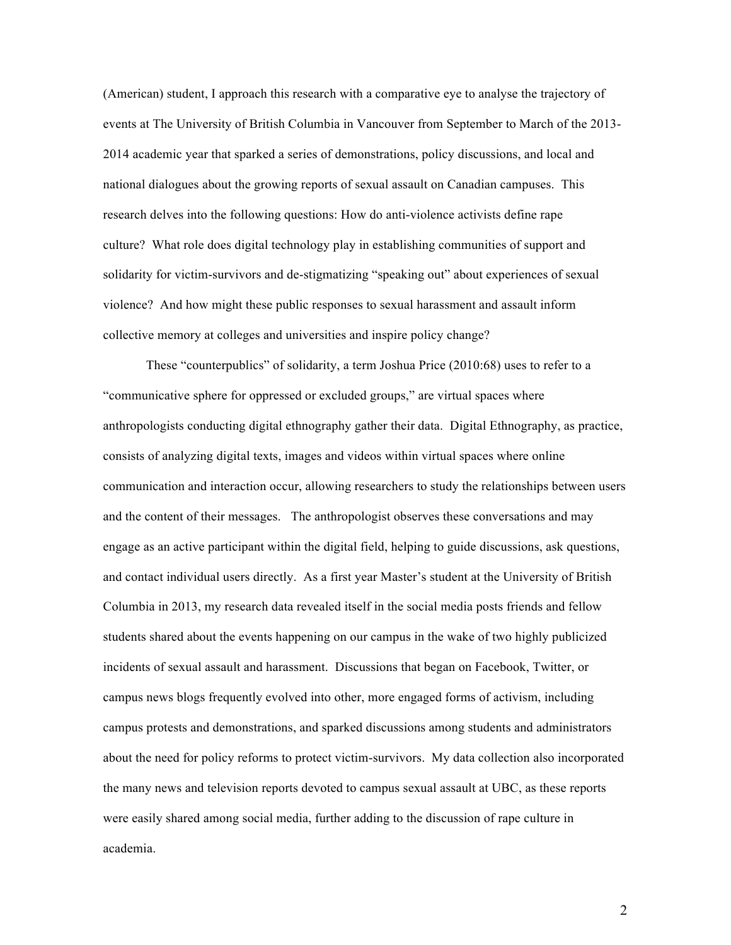(American) student, I approach this research with a comparative eye to analyse the trajectory of events at The University of British Columbia in Vancouver from September to March of the 2013- 2014 academic year that sparked a series of demonstrations, policy discussions, and local and national dialogues about the growing reports of sexual assault on Canadian campuses. This research delves into the following questions: How do anti-violence activists define rape culture? What role does digital technology play in establishing communities of support and solidarity for victim-survivors and de-stigmatizing "speaking out" about experiences of sexual violence? And how might these public responses to sexual harassment and assault inform collective memory at colleges and universities and inspire policy change?

These "counterpublics" of solidarity, a term Joshua Price (2010:68) uses to refer to a "communicative sphere for oppressed or excluded groups," are virtual spaces where anthropologists conducting digital ethnography gather their data. Digital Ethnography, as practice, consists of analyzing digital texts, images and videos within virtual spaces where online communication and interaction occur, allowing researchers to study the relationships between users and the content of their messages. The anthropologist observes these conversations and may engage as an active participant within the digital field, helping to guide discussions, ask questions, and contact individual users directly. As a first year Master's student at the University of British Columbia in 2013, my research data revealed itself in the social media posts friends and fellow students shared about the events happening on our campus in the wake of two highly publicized incidents of sexual assault and harassment. Discussions that began on Facebook, Twitter, or campus news blogs frequently evolved into other, more engaged forms of activism, including campus protests and demonstrations, and sparked discussions among students and administrators about the need for policy reforms to protect victim-survivors. My data collection also incorporated the many news and television reports devoted to campus sexual assault at UBC, as these reports were easily shared among social media, further adding to the discussion of rape culture in academia.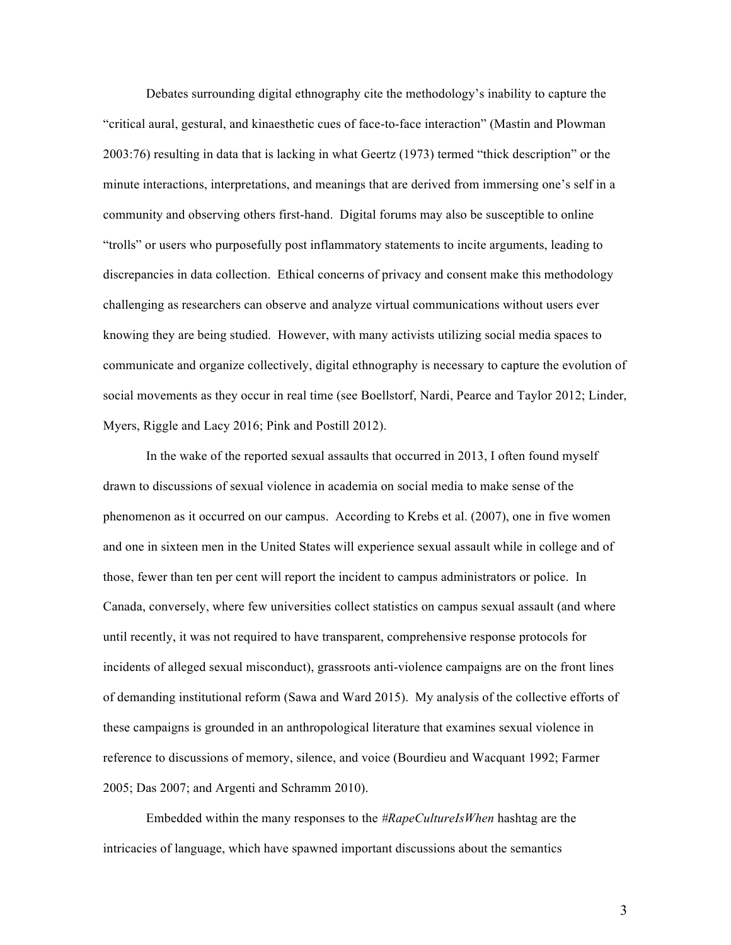Debates surrounding digital ethnography cite the methodology's inability to capture the "critical aural, gestural, and kinaesthetic cues of face-to-face interaction" (Mastin and Plowman 2003:76) resulting in data that is lacking in what Geertz (1973) termed "thick description" or the minute interactions, interpretations, and meanings that are derived from immersing one's self in a community and observing others first-hand. Digital forums may also be susceptible to online "trolls" or users who purposefully post inflammatory statements to incite arguments, leading to discrepancies in data collection. Ethical concerns of privacy and consent make this methodology challenging as researchers can observe and analyze virtual communications without users ever knowing they are being studied. However, with many activists utilizing social media spaces to communicate and organize collectively, digital ethnography is necessary to capture the evolution of social movements as they occur in real time (see Boellstorf, Nardi, Pearce and Taylor 2012; Linder, Myers, Riggle and Lacy 2016; Pink and Postill 2012).

In the wake of the reported sexual assaults that occurred in 2013, I often found myself drawn to discussions of sexual violence in academia on social media to make sense of the phenomenon as it occurred on our campus. According to Krebs et al. (2007), one in five women and one in sixteen men in the United States will experience sexual assault while in college and of those, fewer than ten per cent will report the incident to campus administrators or police. In Canada, conversely, where few universities collect statistics on campus sexual assault (and where until recently, it was not required to have transparent, comprehensive response protocols for incidents of alleged sexual misconduct), grassroots anti-violence campaigns are on the front lines of demanding institutional reform (Sawa and Ward 2015). My analysis of the collective efforts of these campaigns is grounded in an anthropological literature that examines sexual violence in reference to discussions of memory, silence, and voice (Bourdieu and Wacquant 1992; Farmer 2005; Das 2007; and Argenti and Schramm 2010).

Embedded within the many responses to the *#RapeCultureIsWhen* hashtag are the intricacies of language, which have spawned important discussions about the semantics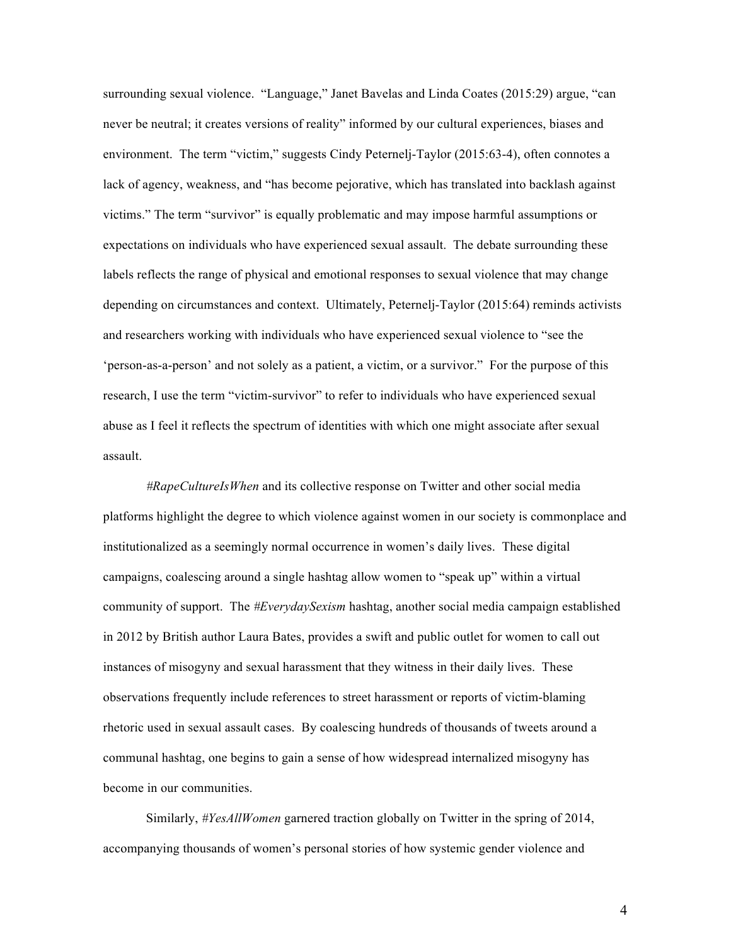surrounding sexual violence. "Language," Janet Bavelas and Linda Coates (2015:29) argue, "can never be neutral; it creates versions of reality" informed by our cultural experiences, biases and environment. The term "victim," suggests Cindy Peternelj-Taylor (2015:63-4), often connotes a lack of agency, weakness, and "has become pejorative, which has translated into backlash against victims." The term "survivor" is equally problematic and may impose harmful assumptions or expectations on individuals who have experienced sexual assault. The debate surrounding these labels reflects the range of physical and emotional responses to sexual violence that may change depending on circumstances and context. Ultimately, Peternelj-Taylor (2015:64) reminds activists and researchers working with individuals who have experienced sexual violence to "see the 'person-as-a-person' and not solely as a patient, a victim, or a survivor." For the purpose of this research, I use the term "victim-survivor" to refer to individuals who have experienced sexual abuse as I feel it reflects the spectrum of identities with which one might associate after sexual assault.

*#RapeCultureIsWhen* and its collective response on Twitter and other social media platforms highlight the degree to which violence against women in our society is commonplace and institutionalized as a seemingly normal occurrence in women's daily lives. These digital campaigns, coalescing around a single hashtag allow women to "speak up" within a virtual community of support. The *#EverydaySexism* hashtag, another social media campaign established in 2012 by British author Laura Bates, provides a swift and public outlet for women to call out instances of misogyny and sexual harassment that they witness in their daily lives. These observations frequently include references to street harassment or reports of victim-blaming rhetoric used in sexual assault cases. By coalescing hundreds of thousands of tweets around a communal hashtag, one begins to gain a sense of how widespread internalized misogyny has become in our communities.

Similarly, *#YesAllWomen* garnered traction globally on Twitter in the spring of 2014, accompanying thousands of women's personal stories of how systemic gender violence and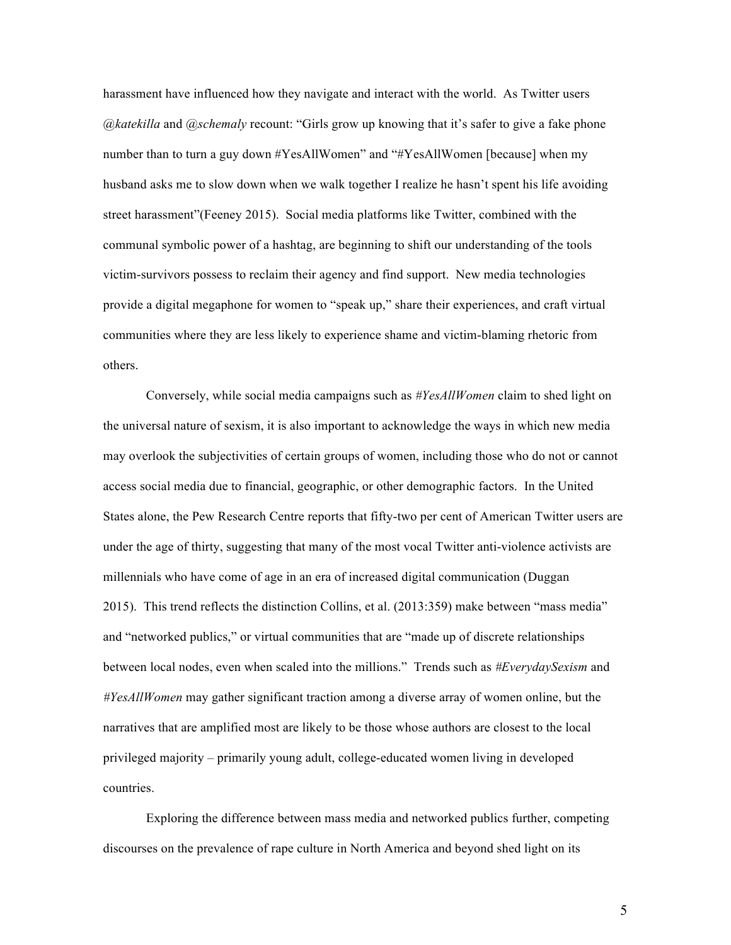harassment have influenced how they navigate and interact with the world. As Twitter users *@katekilla* and *@schemaly* recount: "Girls grow up knowing that it's safer to give a fake phone number than to turn a guy down #YesAllWomen" and "#YesAllWomen [because] when my husband asks me to slow down when we walk together I realize he hasn't spent his life avoiding street harassment"(Feeney 2015). Social media platforms like Twitter, combined with the communal symbolic power of a hashtag, are beginning to shift our understanding of the tools victim-survivors possess to reclaim their agency and find support. New media technologies provide a digital megaphone for women to "speak up," share their experiences, and craft virtual communities where they are less likely to experience shame and victim-blaming rhetoric from others.

Conversely, while social media campaigns such as *#YesAllWomen* claim to shed light on the universal nature of sexism, it is also important to acknowledge the ways in which new media may overlook the subjectivities of certain groups of women, including those who do not or cannot access social media due to financial, geographic, or other demographic factors. In the United States alone, the Pew Research Centre reports that fifty-two per cent of American Twitter users are under the age of thirty, suggesting that many of the most vocal Twitter anti-violence activists are millennials who have come of age in an era of increased digital communication (Duggan 2015). This trend reflects the distinction Collins, et al. (2013:359) make between "mass media" and "networked publics," or virtual communities that are "made up of discrete relationships between local nodes, even when scaled into the millions." Trends such as *#EverydaySexism* and *#YesAllWomen* may gather significant traction among a diverse array of women online, but the narratives that are amplified most are likely to be those whose authors are closest to the local privileged majority – primarily young adult, college-educated women living in developed countries.

Exploring the difference between mass media and networked publics further, competing discourses on the prevalence of rape culture in North America and beyond shed light on its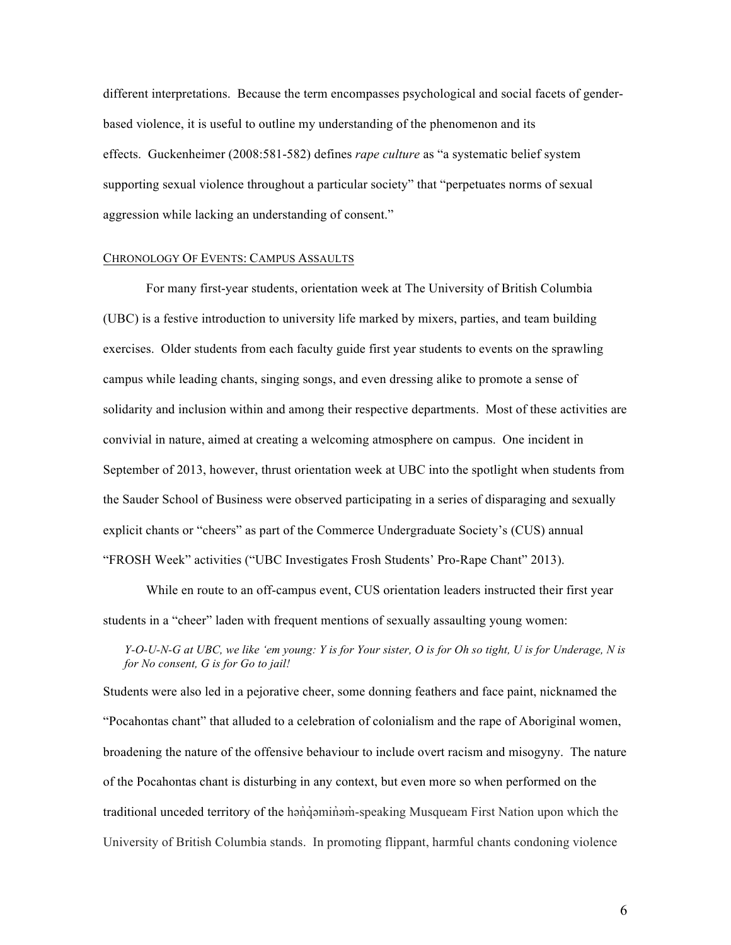different interpretations. Because the term encompasses psychological and social facets of genderbased violence, it is useful to outline my understanding of the phenomenon and its effects. Guckenheimer (2008:581-582) defines *rape culture* as "a systematic belief system supporting sexual violence throughout a particular society" that "perpetuates norms of sexual aggression while lacking an understanding of consent."

### CHRONOLOGY OF EVENTS: CAMPUS ASSAULTS

For many first-year students, orientation week at The University of British Columbia (UBC) is a festive introduction to university life marked by mixers, parties, and team building exercises. Older students from each faculty guide first year students to events on the sprawling campus while leading chants, singing songs, and even dressing alike to promote a sense of solidarity and inclusion within and among their respective departments. Most of these activities are convivial in nature, aimed at creating a welcoming atmosphere on campus. One incident in September of 2013, however, thrust orientation week at UBC into the spotlight when students from the Sauder School of Business were observed participating in a series of disparaging and sexually explicit chants or "cheers" as part of the Commerce Undergraduate Society's (CUS) annual "FROSH Week" activities ("UBC Investigates Frosh Students' Pro-Rape Chant" 2013).

While en route to an off-campus event, CUS orientation leaders instructed their first year students in a "cheer" laden with frequent mentions of sexually assaulting young women:

*Y-O-U-N-G at UBC, we like 'em young: Y is for Your sister, O is for Oh so tight, U is for Underage, N is for No consent, G is for Go to jail!*

Students were also led in a pejorative cheer, some donning feathers and face paint, nicknamed the "Pocahontas chant" that alluded to a celebration of colonialism and the rape of Aboriginal women, broadening the nature of the offensive behaviour to include overt racism and misogyny. The nature of the Pocahontas chant is disturbing in any context, but even more so when performed on the traditional unceded territory of the hanquem speaking Musqueam First Nation upon which the University of British Columbia stands. In promoting flippant, harmful chants condoning violence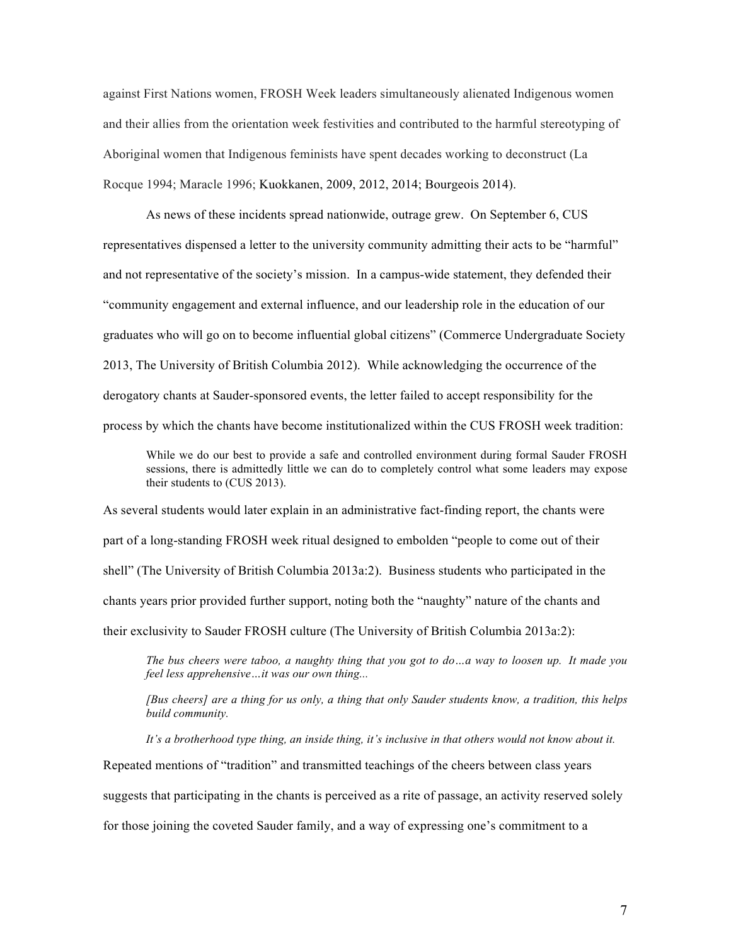against First Nations women, FROSH Week leaders simultaneously alienated Indigenous women and their allies from the orientation week festivities and contributed to the harmful stereotyping of Aboriginal women that Indigenous feminists have spent decades working to deconstruct (La Rocque 1994; Maracle 1996; Kuokkanen, 2009, 2012, 2014; Bourgeois 2014).

As news of these incidents spread nationwide, outrage grew. On September 6, CUS representatives dispensed a letter to the university community admitting their acts to be "harmful" and not representative of the society's mission. In a campus-wide statement, they defended their "community engagement and external influence, and our leadership role in the education of our graduates who will go on to become influential global citizens" (Commerce Undergraduate Society 2013, The University of British Columbia 2012). While acknowledging the occurrence of the derogatory chants at Sauder-sponsored events, the letter failed to accept responsibility for the process by which the chants have become institutionalized within the CUS FROSH week tradition:

While we do our best to provide a safe and controlled environment during formal Sauder FROSH sessions, there is admittedly little we can do to completely control what some leaders may expose their students to (CUS 2013).

As several students would later explain in an administrative fact-finding report, the chants were part of a long-standing FROSH week ritual designed to embolden "people to come out of their shell" (The University of British Columbia 2013a:2). Business students who participated in the chants years prior provided further support, noting both the "naughty" nature of the chants and their exclusivity to Sauder FROSH culture (The University of British Columbia 2013a:2):

*The bus cheers were taboo, a naughty thing that you got to do…a way to loosen up. It made you feel less apprehensive…it was our own thing...*

*[Bus cheers] are a thing for us only, a thing that only Sauder students know, a tradition, this helps build community.*

*It's a brotherhood type thing, an inside thing, it's inclusive in that others would not know about it.* Repeated mentions of "tradition" and transmitted teachings of the cheers between class years suggests that participating in the chants is perceived as a rite of passage, an activity reserved solely for those joining the coveted Sauder family, and a way of expressing one's commitment to a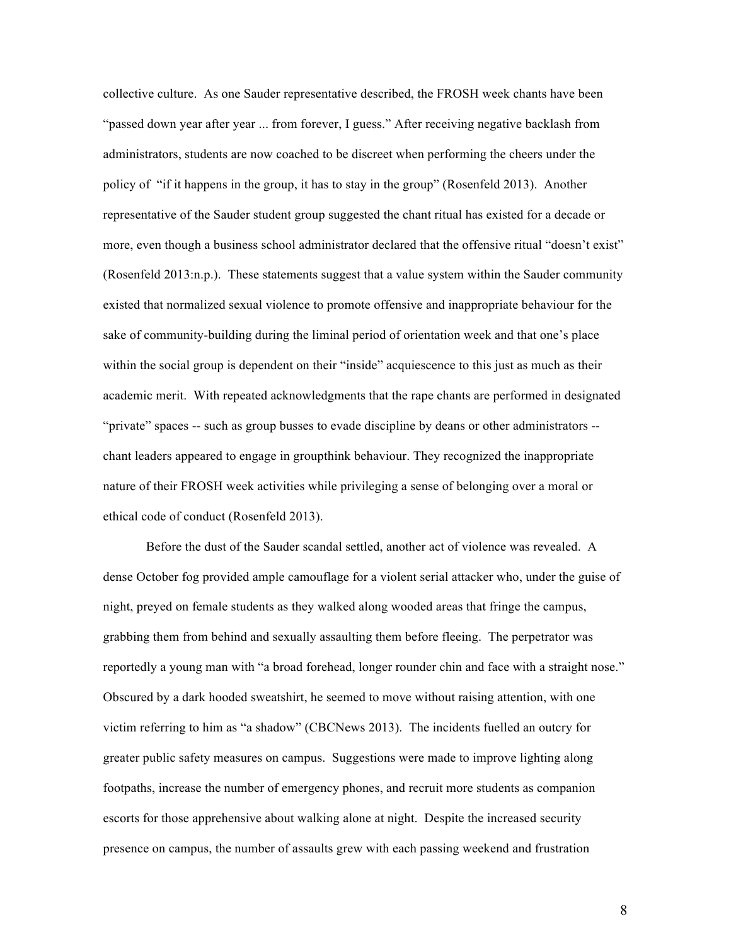collective culture. As one Sauder representative described, the FROSH week chants have been "passed down year after year ... from forever, I guess." After receiving negative backlash from administrators, students are now coached to be discreet when performing the cheers under the policy of "if it happens in the group, it has to stay in the group" (Rosenfeld 2013). Another representative of the Sauder student group suggested the chant ritual has existed for a decade or more, even though a business school administrator declared that the offensive ritual "doesn't exist" (Rosenfeld 2013:n.p.). These statements suggest that a value system within the Sauder community existed that normalized sexual violence to promote offensive and inappropriate behaviour for the sake of community-building during the liminal period of orientation week and that one's place within the social group is dependent on their "inside" acquiescence to this just as much as their academic merit. With repeated acknowledgments that the rape chants are performed in designated "private" spaces -- such as group busses to evade discipline by deans or other administrators - chant leaders appeared to engage in groupthink behaviour. They recognized the inappropriate nature of their FROSH week activities while privileging a sense of belonging over a moral or ethical code of conduct (Rosenfeld 2013).

Before the dust of the Sauder scandal settled, another act of violence was revealed. A dense October fog provided ample camouflage for a violent serial attacker who, under the guise of night, preyed on female students as they walked along wooded areas that fringe the campus, grabbing them from behind and sexually assaulting them before fleeing. The perpetrator was reportedly a young man with "a broad forehead, longer rounder chin and face with a straight nose." Obscured by a dark hooded sweatshirt, he seemed to move without raising attention, with one victim referring to him as "a shadow" (CBCNews 2013). The incidents fuelled an outcry for greater public safety measures on campus. Suggestions were made to improve lighting along footpaths, increase the number of emergency phones, and recruit more students as companion escorts for those apprehensive about walking alone at night. Despite the increased security presence on campus, the number of assaults grew with each passing weekend and frustration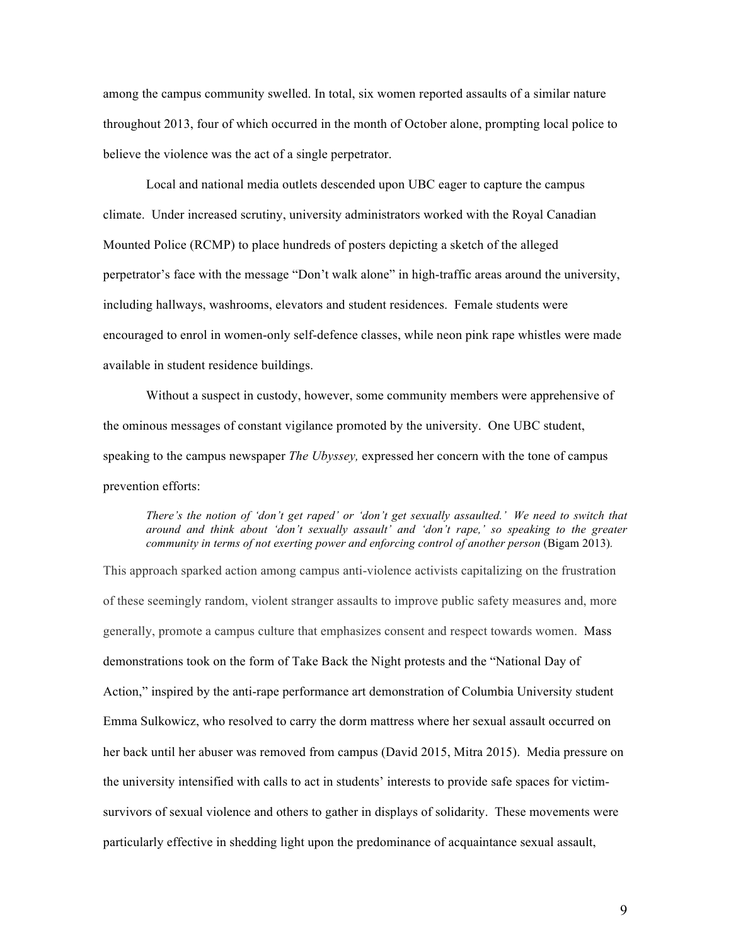among the campus community swelled. In total, six women reported assaults of a similar nature throughout 2013, four of which occurred in the month of October alone, prompting local police to believe the violence was the act of a single perpetrator.

Local and national media outlets descended upon UBC eager to capture the campus climate. Under increased scrutiny, university administrators worked with the Royal Canadian Mounted Police (RCMP) to place hundreds of posters depicting a sketch of the alleged perpetrator's face with the message "Don't walk alone" in high-traffic areas around the university, including hallways, washrooms, elevators and student residences. Female students were encouraged to enrol in women-only self-defence classes, while neon pink rape whistles were made available in student residence buildings.

Without a suspect in custody, however, some community members were apprehensive of the ominous messages of constant vigilance promoted by the university. One UBC student, speaking to the campus newspaper *The Ubyssey,* expressed her concern with the tone of campus prevention efforts:

### *There's the notion of 'don't get raped' or 'don't get sexually assaulted.' We need to switch that around and think about 'don't sexually assault' and 'don't rape,' so speaking to the greater community in terms of not exerting power and enforcing control of another person (Bigam 2013).*

This approach sparked action among campus anti-violence activists capitalizing on the frustration of these seemingly random, violent stranger assaults to improve public safety measures and, more generally, promote a campus culture that emphasizes consent and respect towards women. Mass demonstrations took on the form of Take Back the Night protests and the "National Day of Action," inspired by the anti-rape performance art demonstration of Columbia University student Emma Sulkowicz, who resolved to carry the dorm mattress where her sexual assault occurred on her back until her abuser was removed from campus (David 2015, Mitra 2015). Media pressure on the university intensified with calls to act in students' interests to provide safe spaces for victimsurvivors of sexual violence and others to gather in displays of solidarity. These movements were particularly effective in shedding light upon the predominance of acquaintance sexual assault,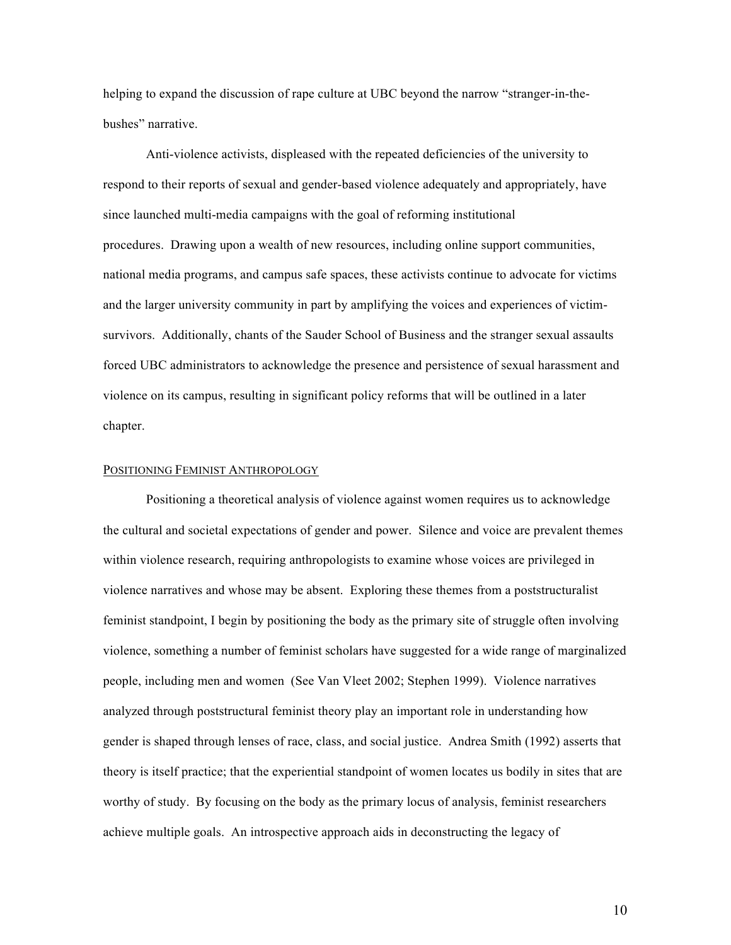helping to expand the discussion of rape culture at UBC beyond the narrow "stranger-in-thebushes" narrative.

Anti-violence activists, displeased with the repeated deficiencies of the university to respond to their reports of sexual and gender-based violence adequately and appropriately, have since launched multi-media campaigns with the goal of reforming institutional procedures. Drawing upon a wealth of new resources, including online support communities, national media programs, and campus safe spaces, these activists continue to advocate for victims and the larger university community in part by amplifying the voices and experiences of victimsurvivors. Additionally, chants of the Sauder School of Business and the stranger sexual assaults forced UBC administrators to acknowledge the presence and persistence of sexual harassment and violence on its campus, resulting in significant policy reforms that will be outlined in a later chapter.

## POSITIONING FEMINIST ANTHROPOLOGY

Positioning a theoretical analysis of violence against women requires us to acknowledge the cultural and societal expectations of gender and power. Silence and voice are prevalent themes within violence research, requiring anthropologists to examine whose voices are privileged in violence narratives and whose may be absent. Exploring these themes from a poststructuralist feminist standpoint, I begin by positioning the body as the primary site of struggle often involving violence, something a number of feminist scholars have suggested for a wide range of marginalized people, including men and women (See Van Vleet 2002; Stephen 1999). Violence narratives analyzed through poststructural feminist theory play an important role in understanding how gender is shaped through lenses of race, class, and social justice. Andrea Smith (1992) asserts that theory is itself practice; that the experiential standpoint of women locates us bodily in sites that are worthy of study. By focusing on the body as the primary locus of analysis, feminist researchers achieve multiple goals. An introspective approach aids in deconstructing the legacy of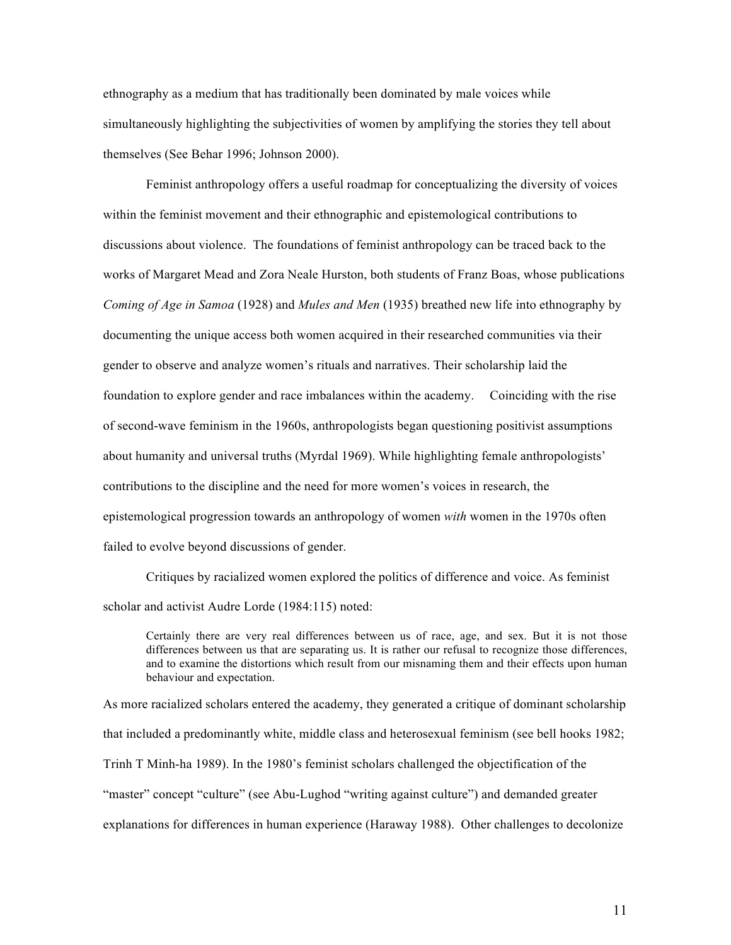ethnography as a medium that has traditionally been dominated by male voices while simultaneously highlighting the subjectivities of women by amplifying the stories they tell about themselves (See Behar 1996; Johnson 2000).

Feminist anthropology offers a useful roadmap for conceptualizing the diversity of voices within the feminist movement and their ethnographic and epistemological contributions to discussions about violence. The foundations of feminist anthropology can be traced back to the works of Margaret Mead and Zora Neale Hurston, both students of Franz Boas, whose publications *Coming of Age in Samoa* (1928) and *Mules and Men* (1935) breathed new life into ethnography by documenting the unique access both women acquired in their researched communities via their gender to observe and analyze women's rituals and narratives. Their scholarship laid the foundation to explore gender and race imbalances within the academy. Coinciding with the rise of second-wave feminism in the 1960s, anthropologists began questioning positivist assumptions about humanity and universal truths (Myrdal 1969). While highlighting female anthropologists' contributions to the discipline and the need for more women's voices in research, the epistemological progression towards an anthropology of women *with* women in the 1970s often failed to evolve beyond discussions of gender.

Critiques by racialized women explored the politics of difference and voice. As feminist scholar and activist Audre Lorde (1984:115) noted:

Certainly there are very real differences between us of race, age, and sex. But it is not those differences between us that are separating us. It is rather our refusal to recognize those differences, and to examine the distortions which result from our misnaming them and their effects upon human behaviour and expectation.

As more racialized scholars entered the academy, they generated a critique of dominant scholarship that included a predominantly white, middle class and heterosexual feminism (see bell hooks 1982; Trinh T Minh-ha 1989). In the 1980's feminist scholars challenged the objectification of the "master" concept "culture" (see Abu-Lughod "writing against culture") and demanded greater explanations for differences in human experience (Haraway 1988). Other challenges to decolonize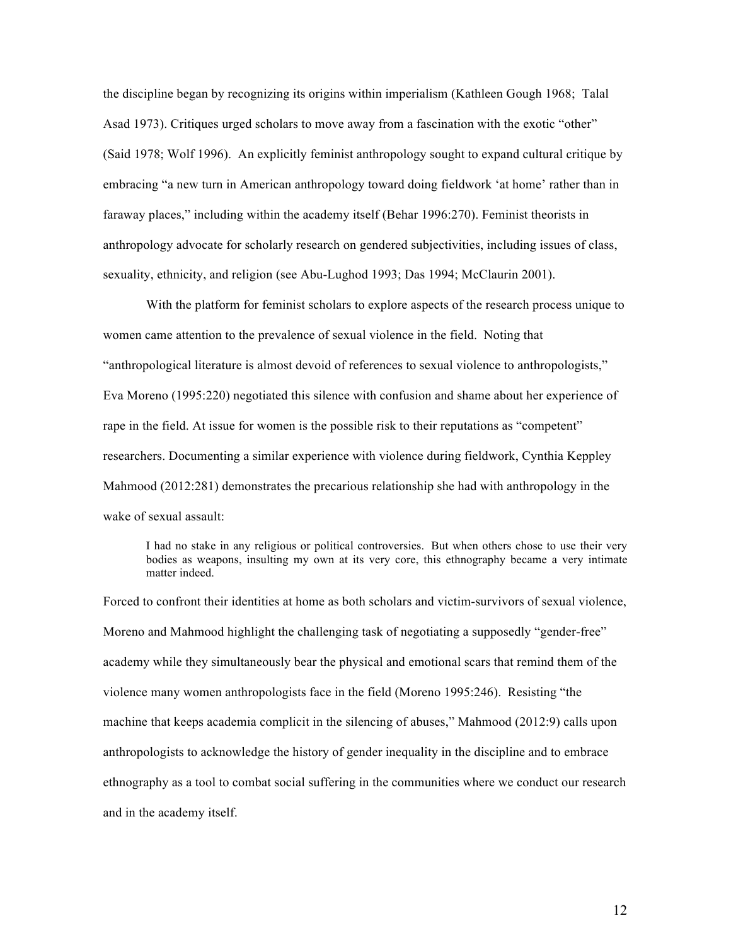the discipline began by recognizing its origins within imperialism (Kathleen Gough 1968; Talal Asad 1973). Critiques urged scholars to move away from a fascination with the exotic "other" (Said 1978; Wolf 1996). An explicitly feminist anthropology sought to expand cultural critique by embracing "a new turn in American anthropology toward doing fieldwork 'at home' rather than in faraway places," including within the academy itself (Behar 1996:270). Feminist theorists in anthropology advocate for scholarly research on gendered subjectivities, including issues of class, sexuality, ethnicity, and religion (see Abu-Lughod 1993; Das 1994; McClaurin 2001).

With the platform for feminist scholars to explore aspects of the research process unique to women came attention to the prevalence of sexual violence in the field. Noting that "anthropological literature is almost devoid of references to sexual violence to anthropologists," Eva Moreno (1995:220) negotiated this silence with confusion and shame about her experience of rape in the field. At issue for women is the possible risk to their reputations as "competent" researchers. Documenting a similar experience with violence during fieldwork, Cynthia Keppley Mahmood (2012:281) demonstrates the precarious relationship she had with anthropology in the wake of sexual assault:

I had no stake in any religious or political controversies. But when others chose to use their very bodies as weapons, insulting my own at its very core, this ethnography became a very intimate matter indeed.

Forced to confront their identities at home as both scholars and victim-survivors of sexual violence, Moreno and Mahmood highlight the challenging task of negotiating a supposedly "gender-free" academy while they simultaneously bear the physical and emotional scars that remind them of the violence many women anthropologists face in the field (Moreno 1995:246). Resisting "the machine that keeps academia complicit in the silencing of abuses," Mahmood (2012:9) calls upon anthropologists to acknowledge the history of gender inequality in the discipline and to embrace ethnography as a tool to combat social suffering in the communities where we conduct our research and in the academy itself.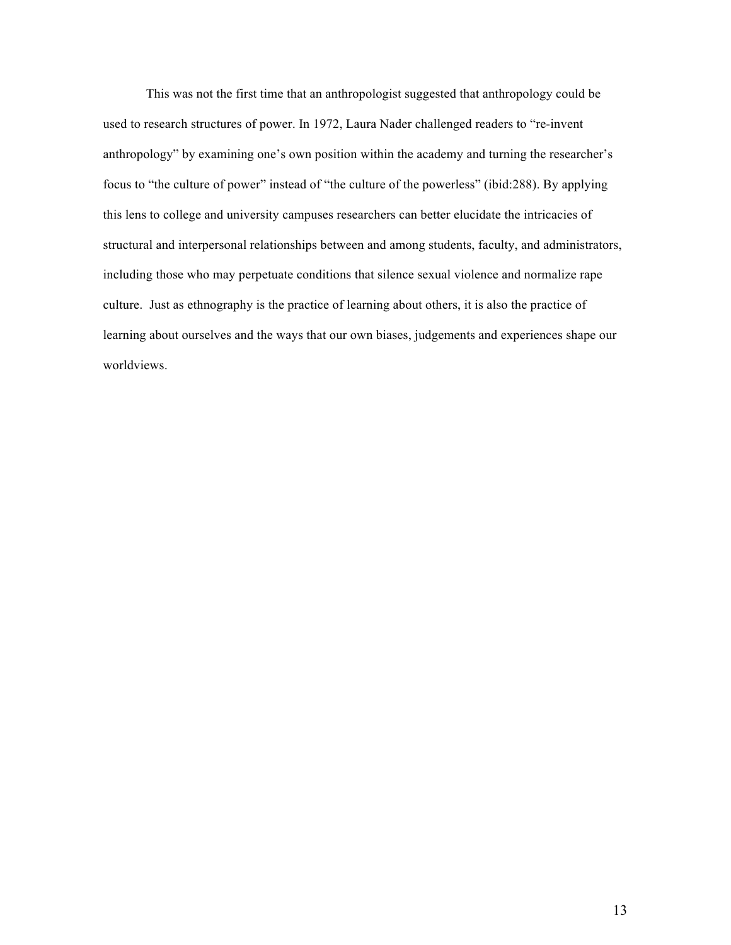This was not the first time that an anthropologist suggested that anthropology could be used to research structures of power. In 1972, Laura Nader challenged readers to "re-invent anthropology" by examining one's own position within the academy and turning the researcher's focus to "the culture of power" instead of "the culture of the powerless" (ibid:288). By applying this lens to college and university campuses researchers can better elucidate the intricacies of structural and interpersonal relationships between and among students, faculty, and administrators, including those who may perpetuate conditions that silence sexual violence and normalize rape culture. Just as ethnography is the practice of learning about others, it is also the practice of learning about ourselves and the ways that our own biases, judgements and experiences shape our worldviews.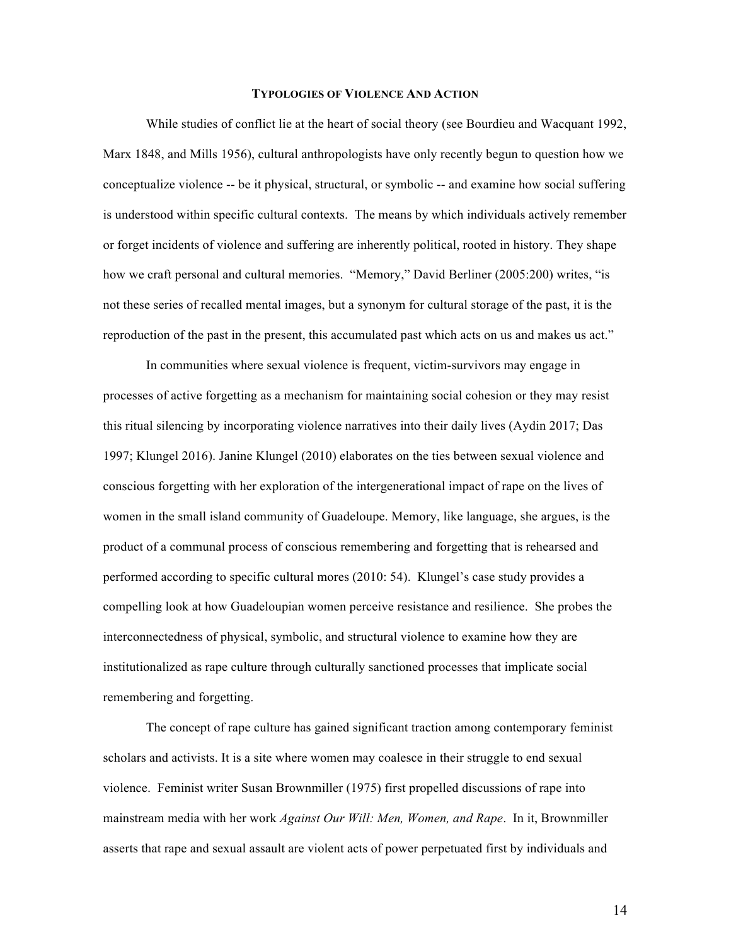#### **TYPOLOGIES OF VIOLENCE AND ACTION**

While studies of conflict lie at the heart of social theory (see Bourdieu and Wacquant 1992, Marx 1848, and Mills 1956), cultural anthropologists have only recently begun to question how we conceptualize violence -- be it physical, structural, or symbolic -- and examine how social suffering is understood within specific cultural contexts. The means by which individuals actively remember or forget incidents of violence and suffering are inherently political, rooted in history. They shape how we craft personal and cultural memories. "Memory," David Berliner (2005:200) writes, "is not these series of recalled mental images, but a synonym for cultural storage of the past, it is the reproduction of the past in the present, this accumulated past which acts on us and makes us act."

In communities where sexual violence is frequent, victim-survivors may engage in processes of active forgetting as a mechanism for maintaining social cohesion or they may resist this ritual silencing by incorporating violence narratives into their daily lives (Aydin 2017; Das 1997; Klungel 2016). Janine Klungel (2010) elaborates on the ties between sexual violence and conscious forgetting with her exploration of the intergenerational impact of rape on the lives of women in the small island community of Guadeloupe. Memory, like language, she argues, is the product of a communal process of conscious remembering and forgetting that is rehearsed and performed according to specific cultural mores (2010: 54). Klungel's case study provides a compelling look at how Guadeloupian women perceive resistance and resilience. She probes the interconnectedness of physical, symbolic, and structural violence to examine how they are institutionalized as rape culture through culturally sanctioned processes that implicate social remembering and forgetting.

The concept of rape culture has gained significant traction among contemporary feminist scholars and activists. It is a site where women may coalesce in their struggle to end sexual violence. Feminist writer Susan Brownmiller (1975) first propelled discussions of rape into mainstream media with her work *Against Our Will: Men, Women, and Rape*. In it, Brownmiller asserts that rape and sexual assault are violent acts of power perpetuated first by individuals and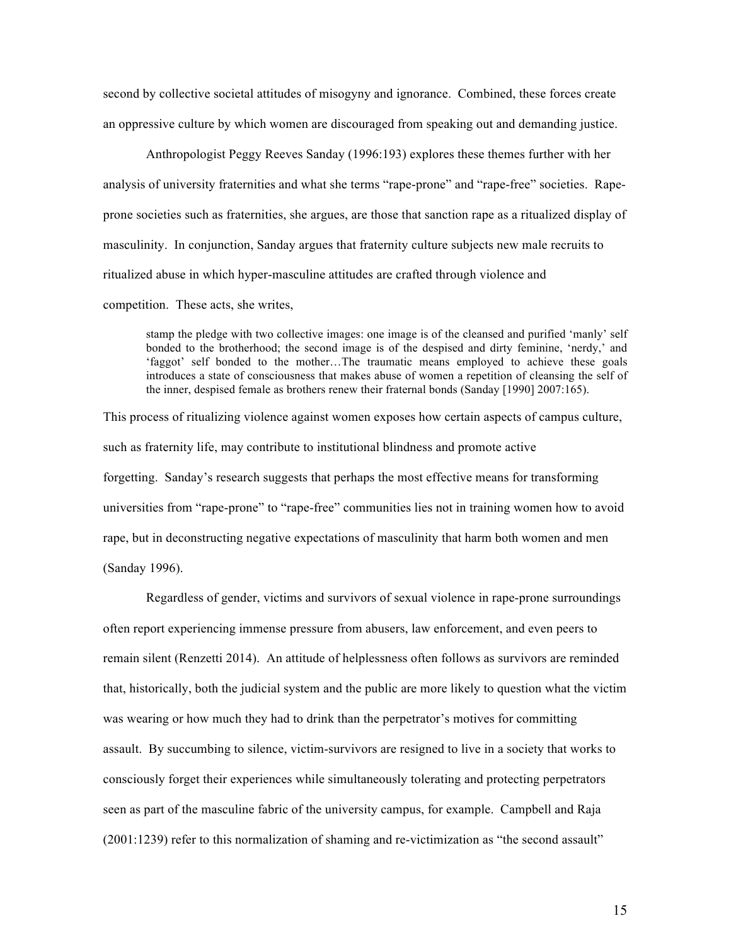second by collective societal attitudes of misogyny and ignorance. Combined, these forces create an oppressive culture by which women are discouraged from speaking out and demanding justice.

Anthropologist Peggy Reeves Sanday (1996:193) explores these themes further with her analysis of university fraternities and what she terms "rape-prone" and "rape-free" societies. Rapeprone societies such as fraternities, she argues, are those that sanction rape as a ritualized display of masculinity. In conjunction, Sanday argues that fraternity culture subjects new male recruits to ritualized abuse in which hyper-masculine attitudes are crafted through violence and

competition. These acts, she writes,

stamp the pledge with two collective images: one image is of the cleansed and purified 'manly' self bonded to the brotherhood; the second image is of the despised and dirty feminine, 'nerdy,' and 'faggot' self bonded to the mother…The traumatic means employed to achieve these goals introduces a state of consciousness that makes abuse of women a repetition of cleansing the self of the inner, despised female as brothers renew their fraternal bonds (Sanday [1990] 2007:165).

This process of ritualizing violence against women exposes how certain aspects of campus culture, such as fraternity life, may contribute to institutional blindness and promote active forgetting. Sanday's research suggests that perhaps the most effective means for transforming universities from "rape-prone" to "rape-free" communities lies not in training women how to avoid rape, but in deconstructing negative expectations of masculinity that harm both women and men (Sanday 1996).

Regardless of gender, victims and survivors of sexual violence in rape-prone surroundings often report experiencing immense pressure from abusers, law enforcement, and even peers to remain silent (Renzetti 2014). An attitude of helplessness often follows as survivors are reminded that, historically, both the judicial system and the public are more likely to question what the victim was wearing or how much they had to drink than the perpetrator's motives for committing assault. By succumbing to silence, victim-survivors are resigned to live in a society that works to consciously forget their experiences while simultaneously tolerating and protecting perpetrators seen as part of the masculine fabric of the university campus, for example. Campbell and Raja (2001:1239) refer to this normalization of shaming and re-victimization as "the second assault"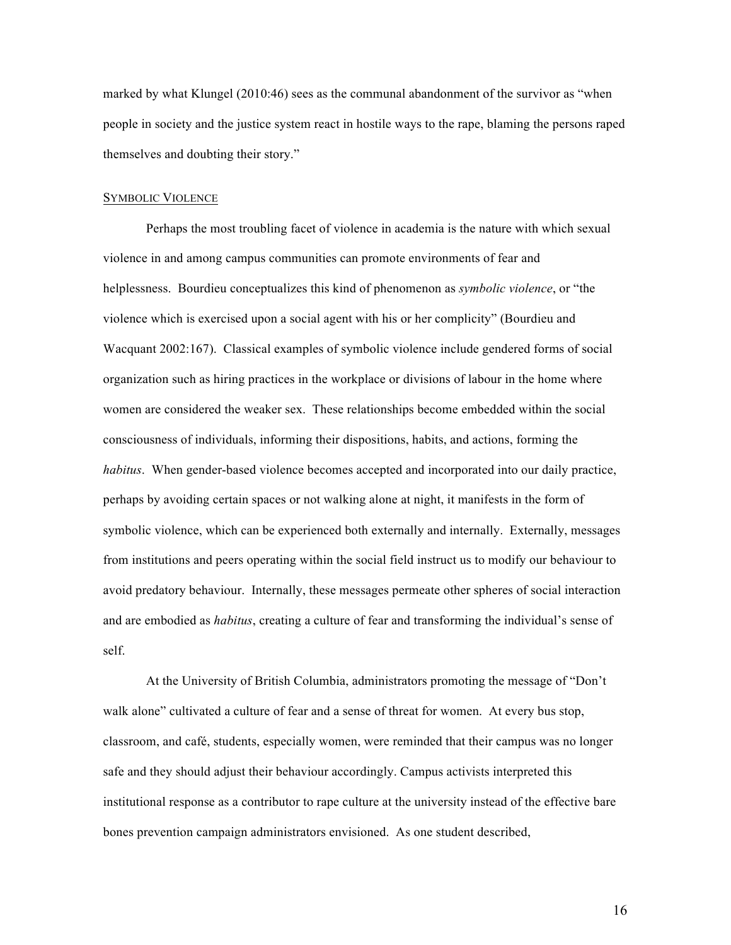marked by what Klungel (2010:46) sees as the communal abandonment of the survivor as "when people in society and the justice system react in hostile ways to the rape, blaming the persons raped themselves and doubting their story."

#### SYMBOLIC VIOLENCE

Perhaps the most troubling facet of violence in academia is the nature with which sexual violence in and among campus communities can promote environments of fear and helplessness. Bourdieu conceptualizes this kind of phenomenon as *symbolic violence*, or "the violence which is exercised upon a social agent with his or her complicity" (Bourdieu and Wacquant 2002:167). Classical examples of symbolic violence include gendered forms of social organization such as hiring practices in the workplace or divisions of labour in the home where women are considered the weaker sex. These relationships become embedded within the social consciousness of individuals, informing their dispositions, habits, and actions, forming the *habitus*. When gender-based violence becomes accepted and incorporated into our daily practice, perhaps by avoiding certain spaces or not walking alone at night, it manifests in the form of symbolic violence, which can be experienced both externally and internally. Externally, messages from institutions and peers operating within the social field instruct us to modify our behaviour to avoid predatory behaviour. Internally, these messages permeate other spheres of social interaction and are embodied as *habitus*, creating a culture of fear and transforming the individual's sense of self.

At the University of British Columbia, administrators promoting the message of "Don't walk alone" cultivated a culture of fear and a sense of threat for women. At every bus stop, classroom, and café, students, especially women, were reminded that their campus was no longer safe and they should adjust their behaviour accordingly. Campus activists interpreted this institutional response as a contributor to rape culture at the university instead of the effective bare bones prevention campaign administrators envisioned. As one student described,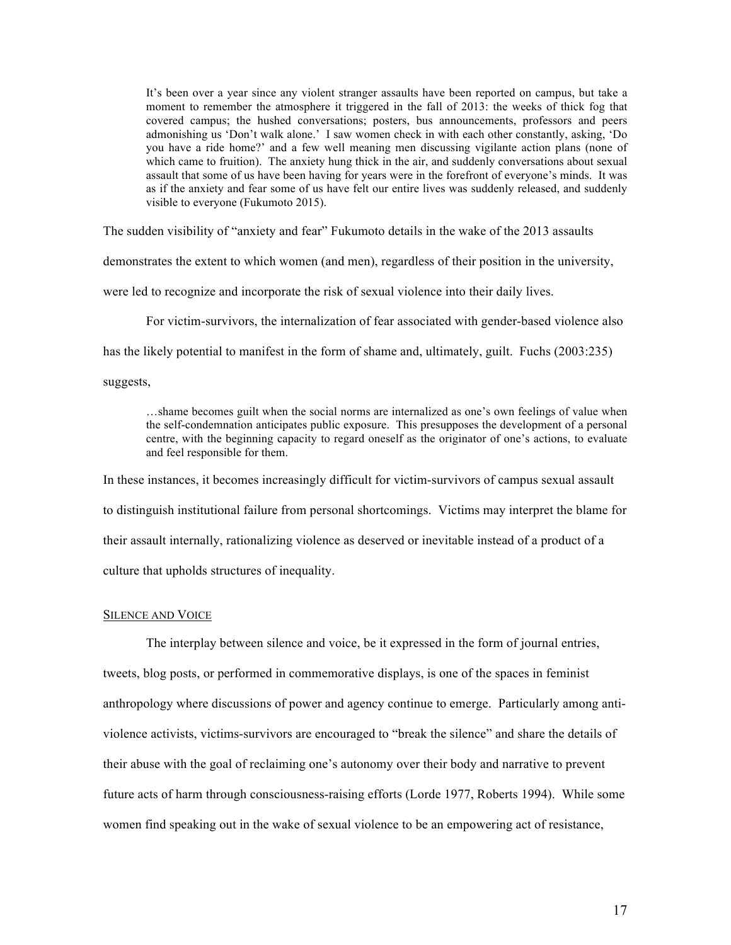It's been over a year since any violent stranger assaults have been reported on campus, but take a moment to remember the atmosphere it triggered in the fall of 2013: the weeks of thick fog that covered campus; the hushed conversations; posters, bus announcements, professors and peers admonishing us 'Don't walk alone.' I saw women check in with each other constantly, asking, 'Do you have a ride home?' and a few well meaning men discussing vigilante action plans (none of which came to fruition). The anxiety hung thick in the air, and suddenly conversations about sexual assault that some of us have been having for years were in the forefront of everyone's minds. It was as if the anxiety and fear some of us have felt our entire lives was suddenly released, and suddenly visible to everyone (Fukumoto 2015).

The sudden visibility of "anxiety and fear" Fukumoto details in the wake of the 2013 assaults

demonstrates the extent to which women (and men), regardless of their position in the university,

were led to recognize and incorporate the risk of sexual violence into their daily lives.

For victim-survivors, the internalization of fear associated with gender-based violence also

has the likely potential to manifest in the form of shame and, ultimately, guilt. Fuchs (2003:235)

suggests,

…shame becomes guilt when the social norms are internalized as one's own feelings of value when the self-condemnation anticipates public exposure. This presupposes the development of a personal centre, with the beginning capacity to regard oneself as the originator of one's actions, to evaluate and feel responsible for them.

In these instances, it becomes increasingly difficult for victim-survivors of campus sexual assault

to distinguish institutional failure from personal shortcomings. Victims may interpret the blame for

their assault internally, rationalizing violence as deserved or inevitable instead of a product of a

culture that upholds structures of inequality.

#### SILENCE AND VOICE

The interplay between silence and voice, be it expressed in the form of journal entries, tweets, blog posts, or performed in commemorative displays, is one of the spaces in feminist anthropology where discussions of power and agency continue to emerge. Particularly among antiviolence activists, victims-survivors are encouraged to "break the silence" and share the details of their abuse with the goal of reclaiming one's autonomy over their body and narrative to prevent future acts of harm through consciousness-raising efforts (Lorde 1977, Roberts 1994). While some women find speaking out in the wake of sexual violence to be an empowering act of resistance,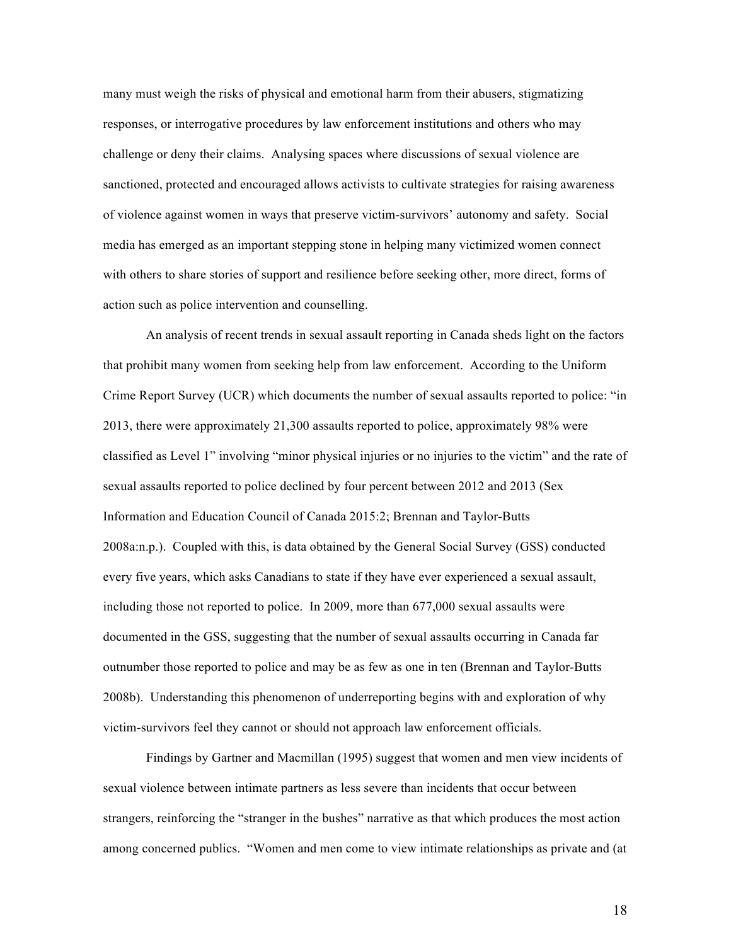many must weigh the risks of physical and emotional harm from their abusers, stigmatizing responses, or interrogative procedures by law enforcement institutions and others who may challenge or deny their claims. Analysing spaces where discussions of sexual violence are sanctioned, protected and encouraged allows activists to cultivate strategies for raising awareness of violence against women in ways that preserve victim-survivors' autonomy and safety. Social media has emerged as an important stepping stone in helping many victimized women connect with others to share stories of support and resilience before seeking other, more direct, forms of action such as police intervention and counselling.

An analysis of recent trends in sexual assault reporting in Canada sheds light on the factors that prohibit many women from seeking help from law enforcement. According to the Uniform Crime Report Survey (UCR) which documents the number of sexual assaults reported to police: "in 2013, there were approximately 21,300 assaults reported to police, approximately 98% were classified as Level 1" involving "minor physical injuries or no injuries to the victim" and the rate of sexual assaults reported to police declined by four percent between 2012 and 2013 (Sex Information and Education Council of Canada 2015:2; Brennan and Taylor-Butts 2008a:n.p.). Coupled with this, is data obtained by the General Social Survey (GSS) conducted every five years, which asks Canadians to state if they have ever experienced a sexual assault, including those not reported to police. In 2009, more than 677,000 sexual assaults were documented in the GSS, suggesting that the number of sexual assaults occurring in Canada far outnumber those reported to police and may be as few as one in ten (Brennan and Taylor-Butts 2008b). Understanding this phenomenon of underreporting begins with and exploration of why victim-survivors feel they cannot or should not approach law enforcement officials.

Findings by Gartner and Macmillan (1995) suggest that women and men view incidents of sexual violence between intimate partners as less severe than incidents that occur between strangers, reinforcing the "stranger in the bushes" narrative as that which produces the most action among concerned publics. "Women and men come to view intimate relationships as private and (at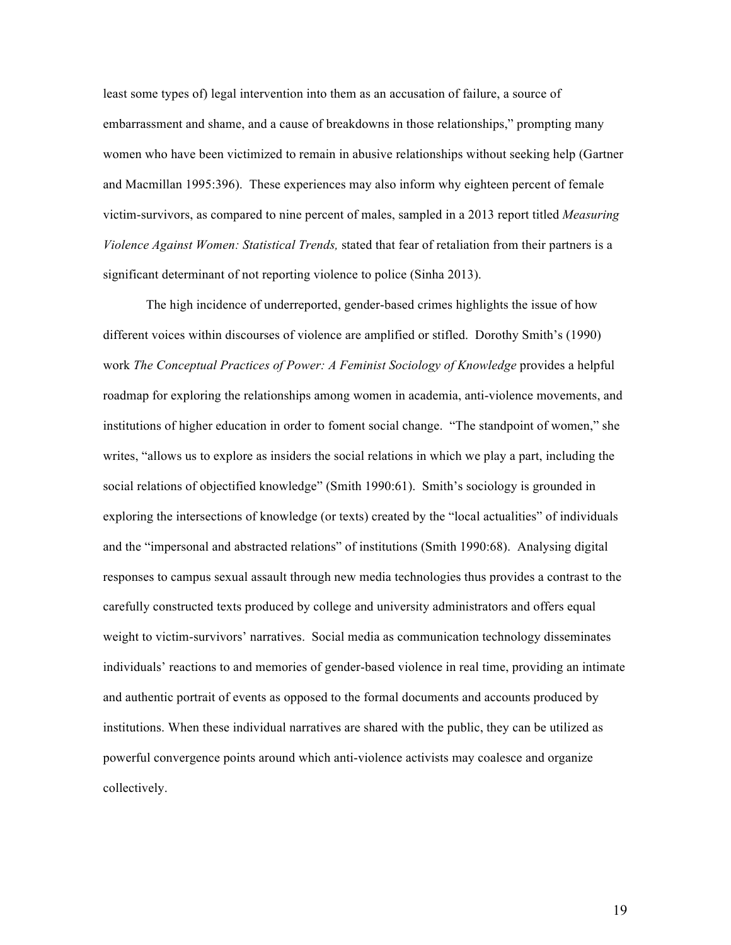least some types of) legal intervention into them as an accusation of failure, a source of embarrassment and shame, and a cause of breakdowns in those relationships," prompting many women who have been victimized to remain in abusive relationships without seeking help (Gartner and Macmillan 1995:396). These experiences may also inform why eighteen percent of female victim-survivors, as compared to nine percent of males, sampled in a 2013 report titled *Measuring Violence Against Women: Statistical Trends,* stated that fear of retaliation from their partners is a significant determinant of not reporting violence to police (Sinha 2013).

The high incidence of underreported, gender-based crimes highlights the issue of how different voices within discourses of violence are amplified or stifled. Dorothy Smith's (1990) work *The Conceptual Practices of Power: A Feminist Sociology of Knowledge* provides a helpful roadmap for exploring the relationships among women in academia, anti-violence movements, and institutions of higher education in order to foment social change. "The standpoint of women," she writes, "allows us to explore as insiders the social relations in which we play a part, including the social relations of objectified knowledge" (Smith 1990:61). Smith's sociology is grounded in exploring the intersections of knowledge (or texts) created by the "local actualities" of individuals and the "impersonal and abstracted relations" of institutions (Smith 1990:68). Analysing digital responses to campus sexual assault through new media technologies thus provides a contrast to the carefully constructed texts produced by college and university administrators and offers equal weight to victim-survivors' narratives. Social media as communication technology disseminates individuals' reactions to and memories of gender-based violence in real time, providing an intimate and authentic portrait of events as opposed to the formal documents and accounts produced by institutions. When these individual narratives are shared with the public, they can be utilized as powerful convergence points around which anti-violence activists may coalesce and organize collectively.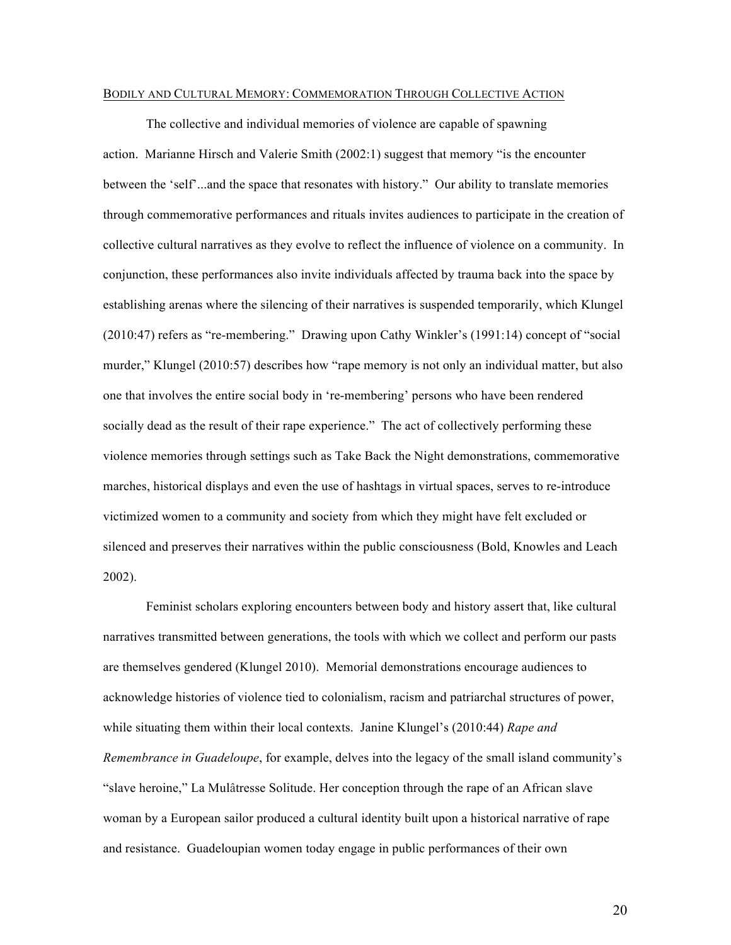#### BODILY AND CULTURAL MEMORY: COMMEMORATION THROUGH COLLECTIVE ACTION

The collective and individual memories of violence are capable of spawning action. Marianne Hirsch and Valerie Smith (2002:1) suggest that memory "is the encounter between the 'self'...and the space that resonates with history." Our ability to translate memories through commemorative performances and rituals invites audiences to participate in the creation of collective cultural narratives as they evolve to reflect the influence of violence on a community. In conjunction, these performances also invite individuals affected by trauma back into the space by establishing arenas where the silencing of their narratives is suspended temporarily, which Klungel (2010:47) refers as "re-membering." Drawing upon Cathy Winkler's (1991:14) concept of "social murder," Klungel (2010:57) describes how "rape memory is not only an individual matter, but also one that involves the entire social body in 're-membering' persons who have been rendered socially dead as the result of their rape experience." The act of collectively performing these violence memories through settings such as Take Back the Night demonstrations, commemorative marches, historical displays and even the use of hashtags in virtual spaces, serves to re-introduce victimized women to a community and society from which they might have felt excluded or silenced and preserves their narratives within the public consciousness (Bold, Knowles and Leach 2002).

Feminist scholars exploring encounters between body and history assert that, like cultural narratives transmitted between generations, the tools with which we collect and perform our pasts are themselves gendered (Klungel 2010). Memorial demonstrations encourage audiences to acknowledge histories of violence tied to colonialism, racism and patriarchal structures of power, while situating them within their local contexts. Janine Klungel's (2010:44) *Rape and Remembrance in Guadeloupe*, for example, delves into the legacy of the small island community's "slave heroine," La Mulâtresse Solitude. Her conception through the rape of an African slave woman by a European sailor produced a cultural identity built upon a historical narrative of rape and resistance. Guadeloupian women today engage in public performances of their own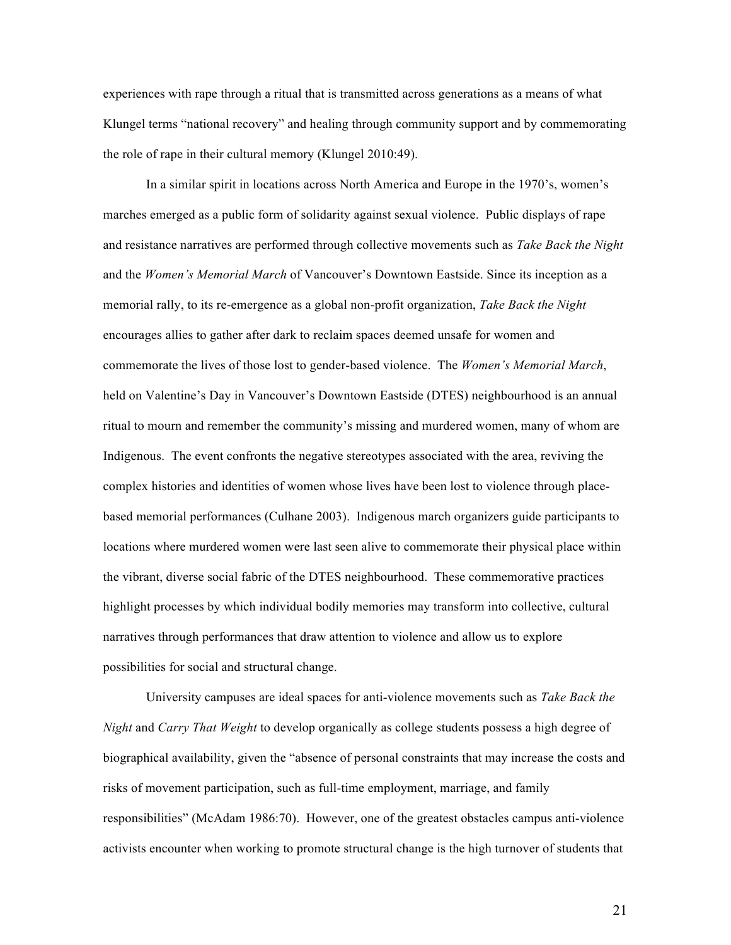experiences with rape through a ritual that is transmitted across generations as a means of what Klungel terms "national recovery" and healing through community support and by commemorating the role of rape in their cultural memory (Klungel 2010:49).

In a similar spirit in locations across North America and Europe in the 1970's, women's marches emerged as a public form of solidarity against sexual violence. Public displays of rape and resistance narratives are performed through collective movements such as *Take Back the Night* and the *Women's Memorial March* of Vancouver's Downtown Eastside. Since its inception as a memorial rally, to its re-emergence as a global non-profit organization, *Take Back the Night* encourages allies to gather after dark to reclaim spaces deemed unsafe for women and commemorate the lives of those lost to gender-based violence. The *Women's Memorial March*, held on Valentine's Day in Vancouver's Downtown Eastside (DTES) neighbourhood is an annual ritual to mourn and remember the community's missing and murdered women, many of whom are Indigenous. The event confronts the negative stereotypes associated with the area, reviving the complex histories and identities of women whose lives have been lost to violence through placebased memorial performances (Culhane 2003). Indigenous march organizers guide participants to locations where murdered women were last seen alive to commemorate their physical place within the vibrant, diverse social fabric of the DTES neighbourhood. These commemorative practices highlight processes by which individual bodily memories may transform into collective, cultural narratives through performances that draw attention to violence and allow us to explore possibilities for social and structural change.

University campuses are ideal spaces for anti-violence movements such as *Take Back the Night* and *Carry That Weight* to develop organically as college students possess a high degree of biographical availability, given the "absence of personal constraints that may increase the costs and risks of movement participation, such as full-time employment, marriage, and family responsibilities" (McAdam 1986:70). However, one of the greatest obstacles campus anti-violence activists encounter when working to promote structural change is the high turnover of students that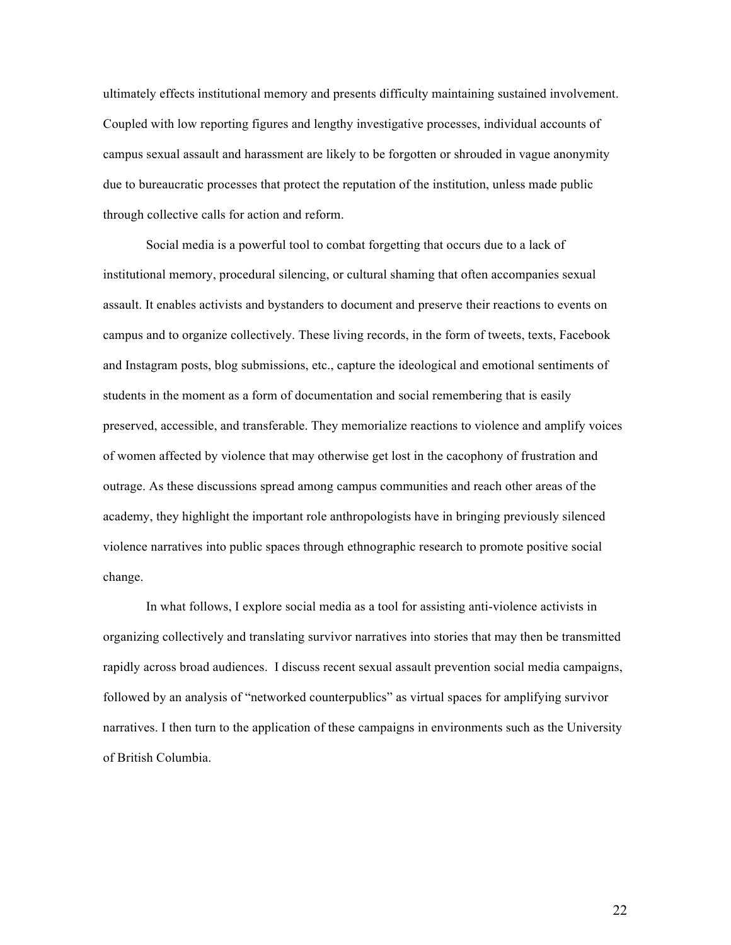ultimately effects institutional memory and presents difficulty maintaining sustained involvement. Coupled with low reporting figures and lengthy investigative processes, individual accounts of campus sexual assault and harassment are likely to be forgotten or shrouded in vague anonymity due to bureaucratic processes that protect the reputation of the institution, unless made public through collective calls for action and reform.

Social media is a powerful tool to combat forgetting that occurs due to a lack of institutional memory, procedural silencing, or cultural shaming that often accompanies sexual assault. It enables activists and bystanders to document and preserve their reactions to events on campus and to organize collectively. These living records, in the form of tweets, texts, Facebook and Instagram posts, blog submissions, etc., capture the ideological and emotional sentiments of students in the moment as a form of documentation and social remembering that is easily preserved, accessible, and transferable. They memorialize reactions to violence and amplify voices of women affected by violence that may otherwise get lost in the cacophony of frustration and outrage. As these discussions spread among campus communities and reach other areas of the academy, they highlight the important role anthropologists have in bringing previously silenced violence narratives into public spaces through ethnographic research to promote positive social change.

In what follows, I explore social media as a tool for assisting anti-violence activists in organizing collectively and translating survivor narratives into stories that may then be transmitted rapidly across broad audiences. I discuss recent sexual assault prevention social media campaigns, followed by an analysis of "networked counterpublics" as virtual spaces for amplifying survivor narratives. I then turn to the application of these campaigns in environments such as the University of British Columbia.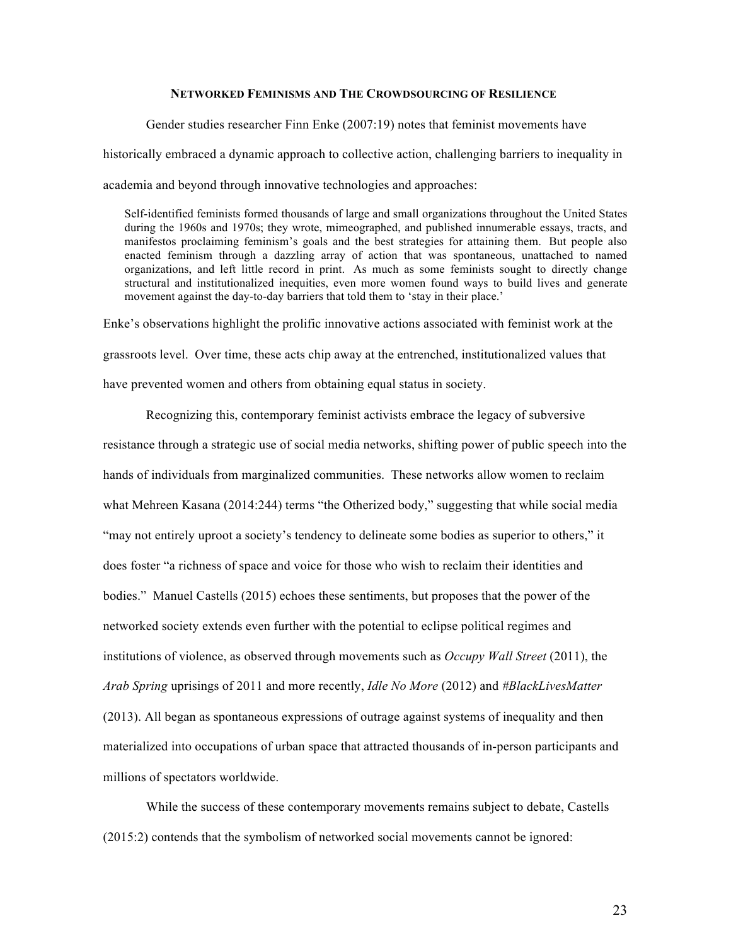# **NETWORKED FEMINISMS AND THE CROWDSOURCING OF RESILIENCE**

Gender studies researcher Finn Enke (2007:19) notes that feminist movements have historically embraced a dynamic approach to collective action, challenging barriers to inequality in academia and beyond through innovative technologies and approaches:

Self-identified feminists formed thousands of large and small organizations throughout the United States during the 1960s and 1970s; they wrote, mimeographed, and published innumerable essays, tracts, and manifestos proclaiming feminism's goals and the best strategies for attaining them. But people also enacted feminism through a dazzling array of action that was spontaneous, unattached to named organizations, and left little record in print. As much as some feminists sought to directly change structural and institutionalized inequities, even more women found ways to build lives and generate movement against the day-to-day barriers that told them to 'stay in their place.'

Enke's observations highlight the prolific innovative actions associated with feminist work at the grassroots level. Over time, these acts chip away at the entrenched, institutionalized values that have prevented women and others from obtaining equal status in society.

Recognizing this, contemporary feminist activists embrace the legacy of subversive resistance through a strategic use of social media networks, shifting power of public speech into the hands of individuals from marginalized communities. These networks allow women to reclaim what Mehreen Kasana (2014:244) terms "the Otherized body," suggesting that while social media "may not entirely uproot a society's tendency to delineate some bodies as superior to others," it does foster "a richness of space and voice for those who wish to reclaim their identities and bodies." Manuel Castells (2015) echoes these sentiments, but proposes that the power of the networked society extends even further with the potential to eclipse political regimes and institutions of violence, as observed through movements such as *Occupy Wall Street* (2011), the *Arab Spring* uprisings of 2011 and more recently, *Idle No More* (2012) and *#BlackLivesMatter*  (2013). All began as spontaneous expressions of outrage against systems of inequality and then materialized into occupations of urban space that attracted thousands of in-person participants and millions of spectators worldwide.

While the success of these contemporary movements remains subject to debate, Castells (2015:2) contends that the symbolism of networked social movements cannot be ignored: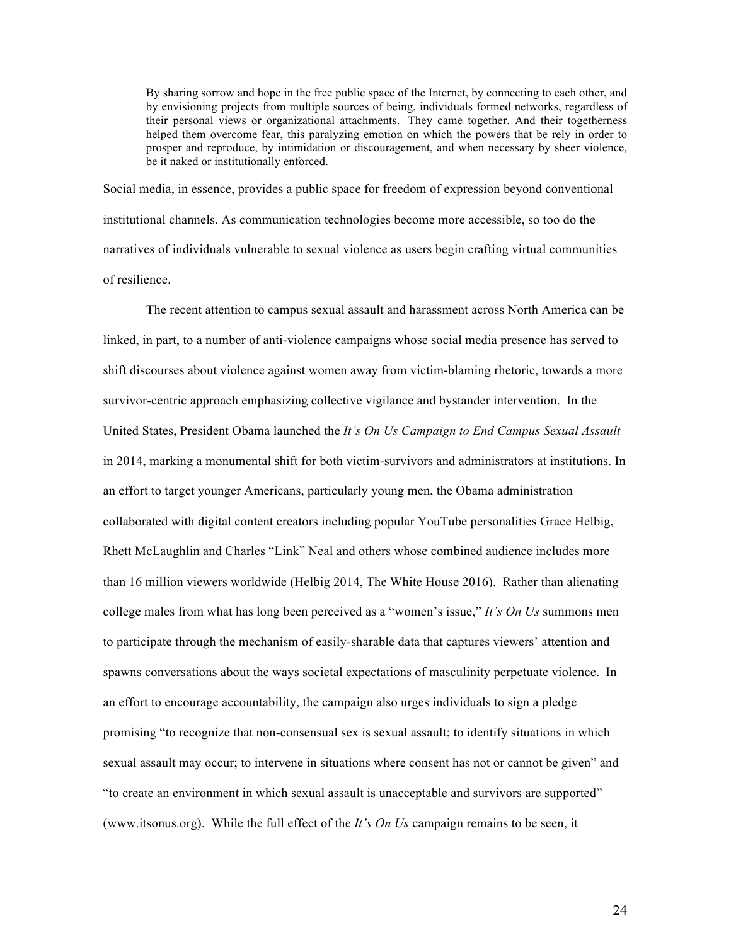By sharing sorrow and hope in the free public space of the Internet, by connecting to each other, and by envisioning projects from multiple sources of being, individuals formed networks, regardless of their personal views or organizational attachments. They came together. And their togetherness helped them overcome fear, this paralyzing emotion on which the powers that be rely in order to prosper and reproduce, by intimidation or discouragement, and when necessary by sheer violence, be it naked or institutionally enforced.

Social media, in essence, provides a public space for freedom of expression beyond conventional institutional channels. As communication technologies become more accessible, so too do the narratives of individuals vulnerable to sexual violence as users begin crafting virtual communities of resilience.

The recent attention to campus sexual assault and harassment across North America can be linked, in part, to a number of anti-violence campaigns whose social media presence has served to shift discourses about violence against women away from victim-blaming rhetoric, towards a more survivor-centric approach emphasizing collective vigilance and bystander intervention. In the United States, President Obama launched the *It's On Us Campaign to End Campus Sexual Assault*  in 2014, marking a monumental shift for both victim-survivors and administrators at institutions. In an effort to target younger Americans, particularly young men, the Obama administration collaborated with digital content creators including popular YouTube personalities Grace Helbig, Rhett McLaughlin and Charles "Link" Neal and others whose combined audience includes more than 16 million viewers worldwide (Helbig 2014, The White House 2016). Rather than alienating college males from what has long been perceived as a "women's issue," *It's On Us* summons men to participate through the mechanism of easily-sharable data that captures viewers' attention and spawns conversations about the ways societal expectations of masculinity perpetuate violence. In an effort to encourage accountability, the campaign also urges individuals to sign a pledge promising "to recognize that non-consensual sex is sexual assault; to identify situations in which sexual assault may occur; to intervene in situations where consent has not or cannot be given" and "to create an environment in which sexual assault is unacceptable and survivors are supported" (www.itsonus.org). While the full effect of the *It's On Us* campaign remains to be seen, it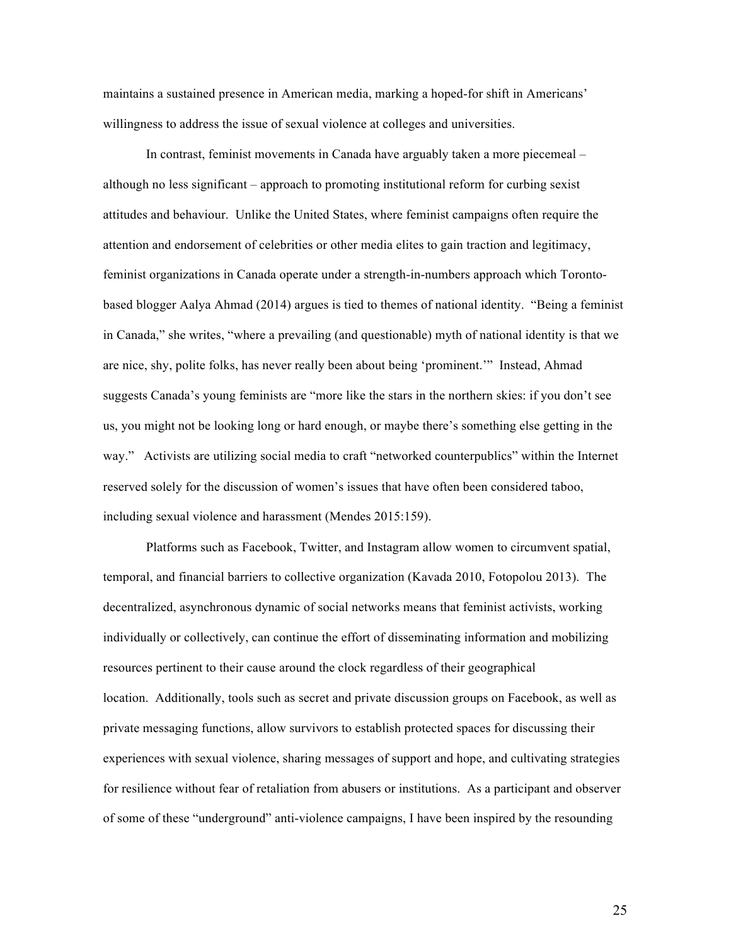maintains a sustained presence in American media, marking a hoped-for shift in Americans' willingness to address the issue of sexual violence at colleges and universities.

In contrast, feminist movements in Canada have arguably taken a more piecemeal – although no less significant – approach to promoting institutional reform for curbing sexist attitudes and behaviour. Unlike the United States, where feminist campaigns often require the attention and endorsement of celebrities or other media elites to gain traction and legitimacy, feminist organizations in Canada operate under a strength-in-numbers approach which Torontobased blogger Aalya Ahmad (2014) argues is tied to themes of national identity. "Being a feminist in Canada," she writes, "where a prevailing (and questionable) myth of national identity is that we are nice, shy, polite folks, has never really been about being 'prominent.'" Instead, Ahmad suggests Canada's young feminists are "more like the stars in the northern skies: if you don't see us, you might not be looking long or hard enough, or maybe there's something else getting in the way." Activists are utilizing social media to craft "networked counterpublics" within the Internet reserved solely for the discussion of women's issues that have often been considered taboo, including sexual violence and harassment (Mendes 2015:159).

Platforms such as Facebook, Twitter, and Instagram allow women to circumvent spatial, temporal, and financial barriers to collective organization (Kavada 2010, Fotopolou 2013). The decentralized, asynchronous dynamic of social networks means that feminist activists, working individually or collectively, can continue the effort of disseminating information and mobilizing resources pertinent to their cause around the clock regardless of their geographical location. Additionally, tools such as secret and private discussion groups on Facebook, as well as private messaging functions, allow survivors to establish protected spaces for discussing their experiences with sexual violence, sharing messages of support and hope, and cultivating strategies for resilience without fear of retaliation from abusers or institutions. As a participant and observer of some of these "underground" anti-violence campaigns, I have been inspired by the resounding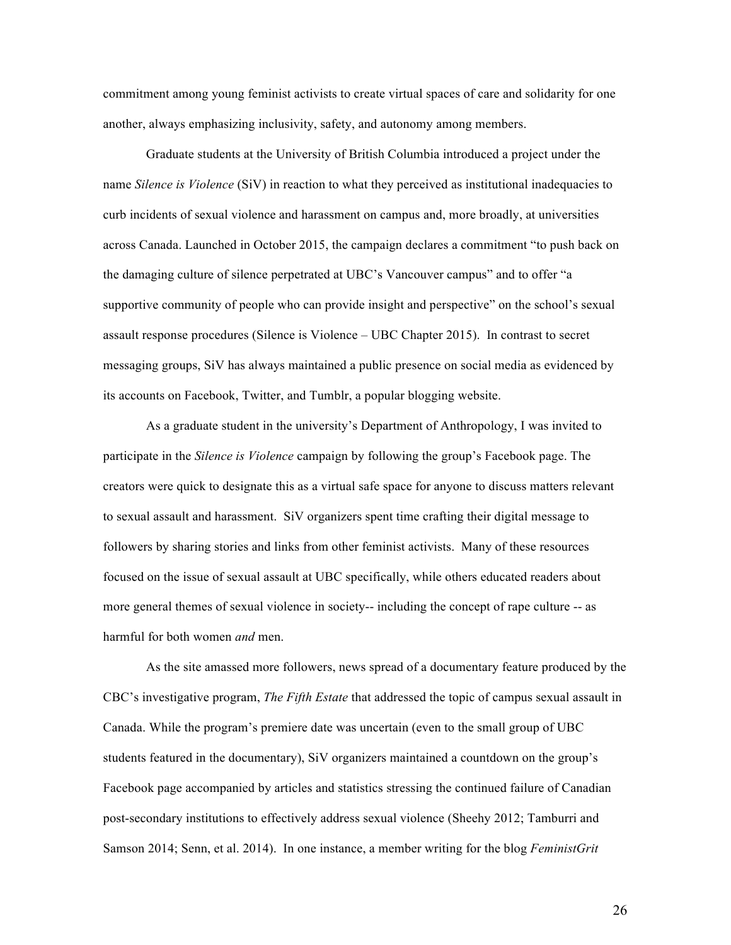commitment among young feminist activists to create virtual spaces of care and solidarity for one another, always emphasizing inclusivity, safety, and autonomy among members.

Graduate students at the University of British Columbia introduced a project under the name *Silence is Violence* (SiV) in reaction to what they perceived as institutional inadequacies to curb incidents of sexual violence and harassment on campus and, more broadly, at universities across Canada. Launched in October 2015, the campaign declares a commitment "to push back on the damaging culture of silence perpetrated at UBC's Vancouver campus" and to offer "a supportive community of people who can provide insight and perspective" on the school's sexual assault response procedures (Silence is Violence – UBC Chapter 2015). In contrast to secret messaging groups, SiV has always maintained a public presence on social media as evidenced by its accounts on Facebook, Twitter, and Tumblr, a popular blogging website.

As a graduate student in the university's Department of Anthropology, I was invited to participate in the *Silence is Violence* campaign by following the group's Facebook page. The creators were quick to designate this as a virtual safe space for anyone to discuss matters relevant to sexual assault and harassment. SiV organizers spent time crafting their digital message to followers by sharing stories and links from other feminist activists. Many of these resources focused on the issue of sexual assault at UBC specifically, while others educated readers about more general themes of sexual violence in society-- including the concept of rape culture -- as harmful for both women *and* men.

As the site amassed more followers, news spread of a documentary feature produced by the CBC's investigative program, *The Fifth Estate* that addressed the topic of campus sexual assault in Canada. While the program's premiere date was uncertain (even to the small group of UBC students featured in the documentary), SiV organizers maintained a countdown on the group's Facebook page accompanied by articles and statistics stressing the continued failure of Canadian post-secondary institutions to effectively address sexual violence (Sheehy 2012; Tamburri and Samson 2014; Senn, et al. 2014). In one instance, a member writing for the blog *FeministGrit*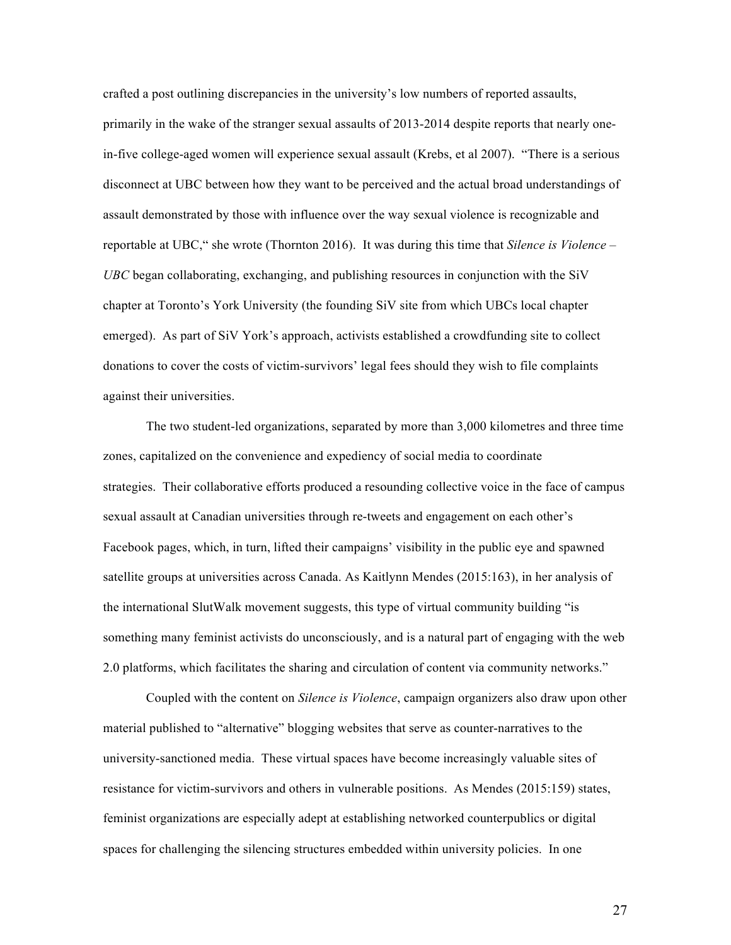crafted a post outlining discrepancies in the university's low numbers of reported assaults, primarily in the wake of the stranger sexual assaults of 2013-2014 despite reports that nearly onein-five college-aged women will experience sexual assault (Krebs, et al 2007). "There is a serious disconnect at UBC between how they want to be perceived and the actual broad understandings of assault demonstrated by those with influence over the way sexual violence is recognizable and reportable at UBC," she wrote (Thornton 2016). It was during this time that *Silence is Violence – UBC* began collaborating, exchanging, and publishing resources in conjunction with the SiV chapter at Toronto's York University (the founding SiV site from which UBCs local chapter emerged). As part of SiV York's approach, activists established a crowdfunding site to collect donations to cover the costs of victim-survivors' legal fees should they wish to file complaints against their universities.

The two student-led organizations, separated by more than 3,000 kilometres and three time zones, capitalized on the convenience and expediency of social media to coordinate strategies. Their collaborative efforts produced a resounding collective voice in the face of campus sexual assault at Canadian universities through re-tweets and engagement on each other's Facebook pages, which, in turn, lifted their campaigns' visibility in the public eye and spawned satellite groups at universities across Canada. As Kaitlynn Mendes (2015:163), in her analysis of the international SlutWalk movement suggests, this type of virtual community building "is something many feminist activists do unconsciously, and is a natural part of engaging with the web 2.0 platforms, which facilitates the sharing and circulation of content via community networks."

Coupled with the content on *Silence is Violence*, campaign organizers also draw upon other material published to "alternative" blogging websites that serve as counter-narratives to the university-sanctioned media. These virtual spaces have become increasingly valuable sites of resistance for victim-survivors and others in vulnerable positions. As Mendes (2015:159) states, feminist organizations are especially adept at establishing networked counterpublics or digital spaces for challenging the silencing structures embedded within university policies. In one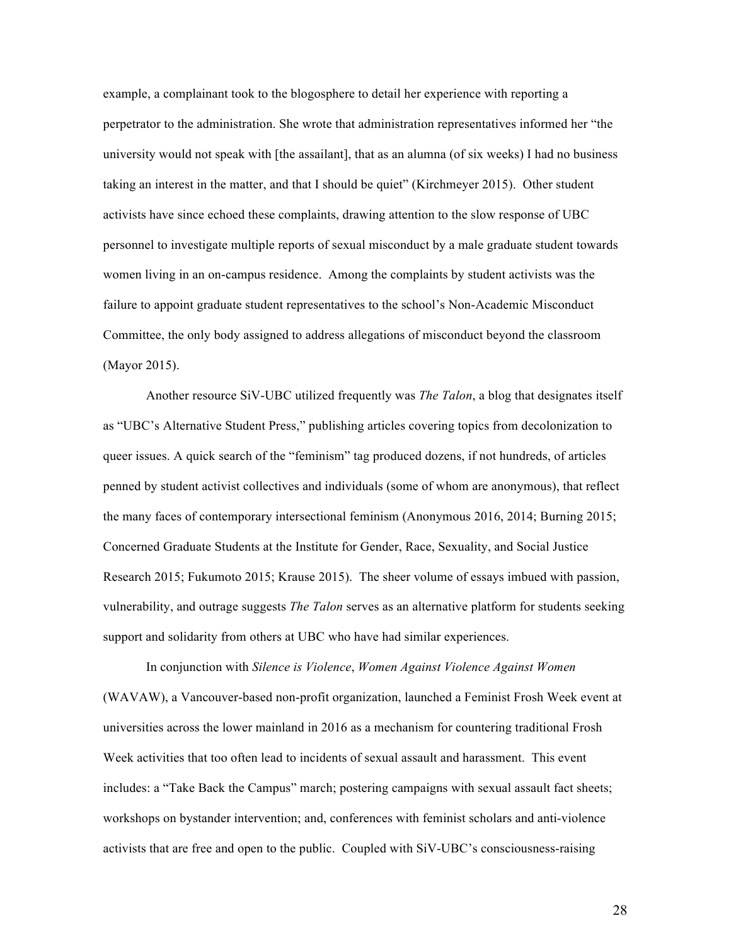example, a complainant took to the blogosphere to detail her experience with reporting a perpetrator to the administration. She wrote that administration representatives informed her "the university would not speak with [the assailant], that as an alumna (of six weeks) I had no business taking an interest in the matter, and that I should be quiet" (Kirchmeyer 2015). Other student activists have since echoed these complaints, drawing attention to the slow response of UBC personnel to investigate multiple reports of sexual misconduct by a male graduate student towards women living in an on-campus residence. Among the complaints by student activists was the failure to appoint graduate student representatives to the school's Non-Academic Misconduct Committee, the only body assigned to address allegations of misconduct beyond the classroom (Mayor 2015).

Another resource SiV-UBC utilized frequently was *The Talon*, a blog that designates itself as "UBC's Alternative Student Press," publishing articles covering topics from decolonization to queer issues. A quick search of the "feminism" tag produced dozens, if not hundreds, of articles penned by student activist collectives and individuals (some of whom are anonymous), that reflect the many faces of contemporary intersectional feminism (Anonymous 2016, 2014; Burning 2015; Concerned Graduate Students at the Institute for Gender, Race, Sexuality, and Social Justice Research 2015; Fukumoto 2015; Krause 2015). The sheer volume of essays imbued with passion, vulnerability, and outrage suggests *The Talon* serves as an alternative platform for students seeking support and solidarity from others at UBC who have had similar experiences.

In conjunction with *Silence is Violence*, *Women Against Violence Against Women* (WAVAW), a Vancouver-based non-profit organization, launched a Feminist Frosh Week event at universities across the lower mainland in 2016 as a mechanism for countering traditional Frosh Week activities that too often lead to incidents of sexual assault and harassment. This event includes: a "Take Back the Campus" march; postering campaigns with sexual assault fact sheets; workshops on bystander intervention; and, conferences with feminist scholars and anti-violence activists that are free and open to the public. Coupled with SiV-UBC's consciousness-raising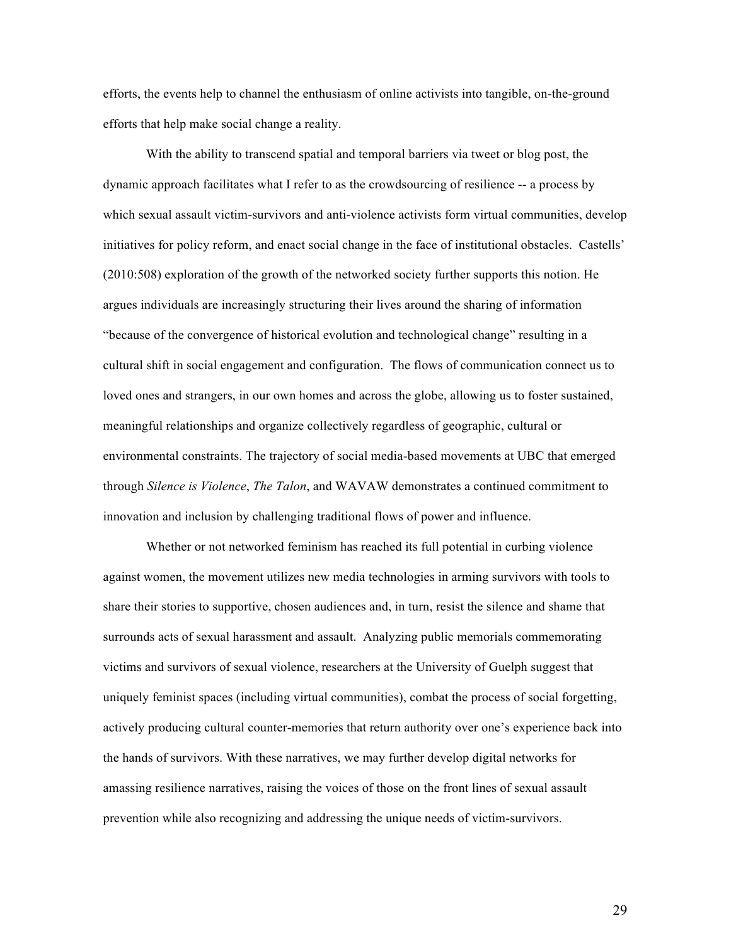efforts, the events help to channel the enthusiasm of online activists into tangible, on-the-ground efforts that help make social change a reality.

With the ability to transcend spatial and temporal barriers via tweet or blog post, the dynamic approach facilitates what I refer to as the crowdsourcing of resilience -- a process by which sexual assault victim-survivors and anti-violence activists form virtual communities, develop initiatives for policy reform, and enact social change in the face of institutional obstacles. Castells' (2010:508) exploration of the growth of the networked society further supports this notion. He argues individuals are increasingly structuring their lives around the sharing of information "because of the convergence of historical evolution and technological change" resulting in a cultural shift in social engagement and configuration. The flows of communication connect us to loved ones and strangers, in our own homes and across the globe, allowing us to foster sustained, meaningful relationships and organize collectively regardless of geographic, cultural or environmental constraints. The trajectory of social media-based movements at UBC that emerged through *Silence is Violence*, *The Talon*, and WAVAW demonstrates a continued commitment to innovation and inclusion by challenging traditional flows of power and influence.

Whether or not networked feminism has reached its full potential in curbing violence against women, the movement utilizes new media technologies in arming survivors with tools to share their stories to supportive, chosen audiences and, in turn, resist the silence and shame that surrounds acts of sexual harassment and assault. Analyzing public memorials commemorating victims and survivors of sexual violence, researchers at the University of Guelph suggest that uniquely feminist spaces (including virtual communities), combat the process of social forgetting, actively producing cultural counter-memories that return authority over one's experience back into the hands of survivors. With these narratives, we may further develop digital networks for amassing resilience narratives, raising the voices of those on the front lines of sexual assault prevention while also recognizing and addressing the unique needs of victim-survivors.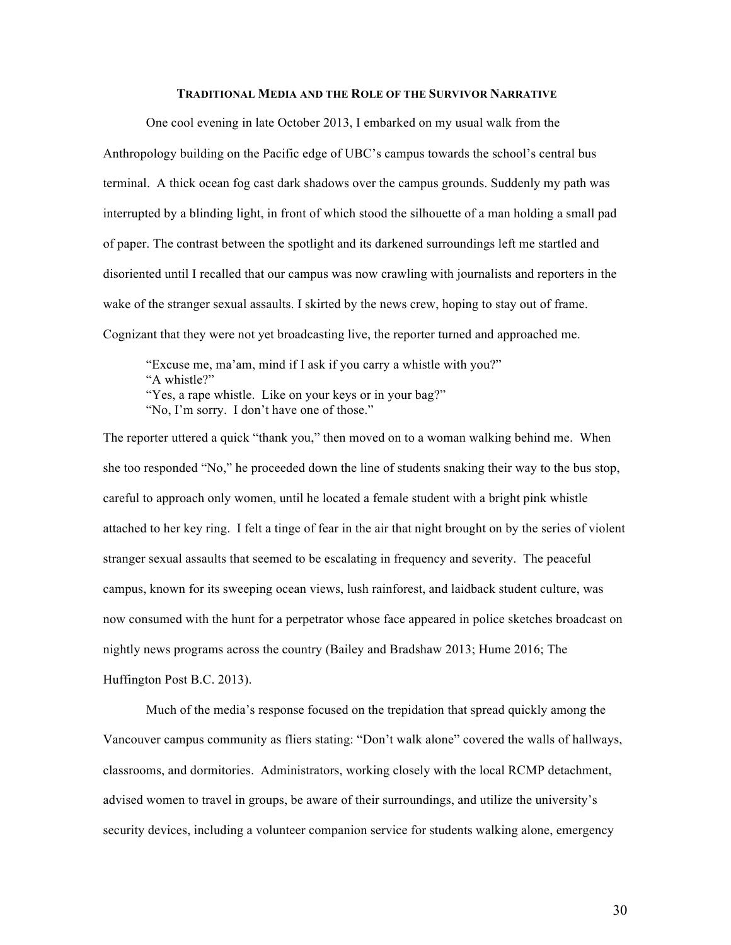## **TRADITIONAL MEDIA AND THE ROLE OF THE SURVIVOR NARRATIVE**

One cool evening in late October 2013, I embarked on my usual walk from the Anthropology building on the Pacific edge of UBC's campus towards the school's central bus terminal. A thick ocean fog cast dark shadows over the campus grounds. Suddenly my path was interrupted by a blinding light, in front of which stood the silhouette of a man holding a small pad of paper. The contrast between the spotlight and its darkened surroundings left me startled and disoriented until I recalled that our campus was now crawling with journalists and reporters in the wake of the stranger sexual assaults. I skirted by the news crew, hoping to stay out of frame. Cognizant that they were not yet broadcasting live, the reporter turned and approached me.

"Excuse me, ma'am, mind if I ask if you carry a whistle with you?" "A whistle?" "Yes, a rape whistle. Like on your keys or in your bag?" "No, I'm sorry. I don't have one of those."

The reporter uttered a quick "thank you," then moved on to a woman walking behind me. When she too responded "No," he proceeded down the line of students snaking their way to the bus stop, careful to approach only women, until he located a female student with a bright pink whistle attached to her key ring. I felt a tinge of fear in the air that night brought on by the series of violent stranger sexual assaults that seemed to be escalating in frequency and severity. The peaceful campus, known for its sweeping ocean views, lush rainforest, and laidback student culture, was now consumed with the hunt for a perpetrator whose face appeared in police sketches broadcast on nightly news programs across the country (Bailey and Bradshaw 2013; Hume 2016; The Huffington Post B.C. 2013).

Much of the media's response focused on the trepidation that spread quickly among the Vancouver campus community as fliers stating: "Don't walk alone" covered the walls of hallways, classrooms, and dormitories. Administrators, working closely with the local RCMP detachment, advised women to travel in groups, be aware of their surroundings, and utilize the university's security devices, including a volunteer companion service for students walking alone, emergency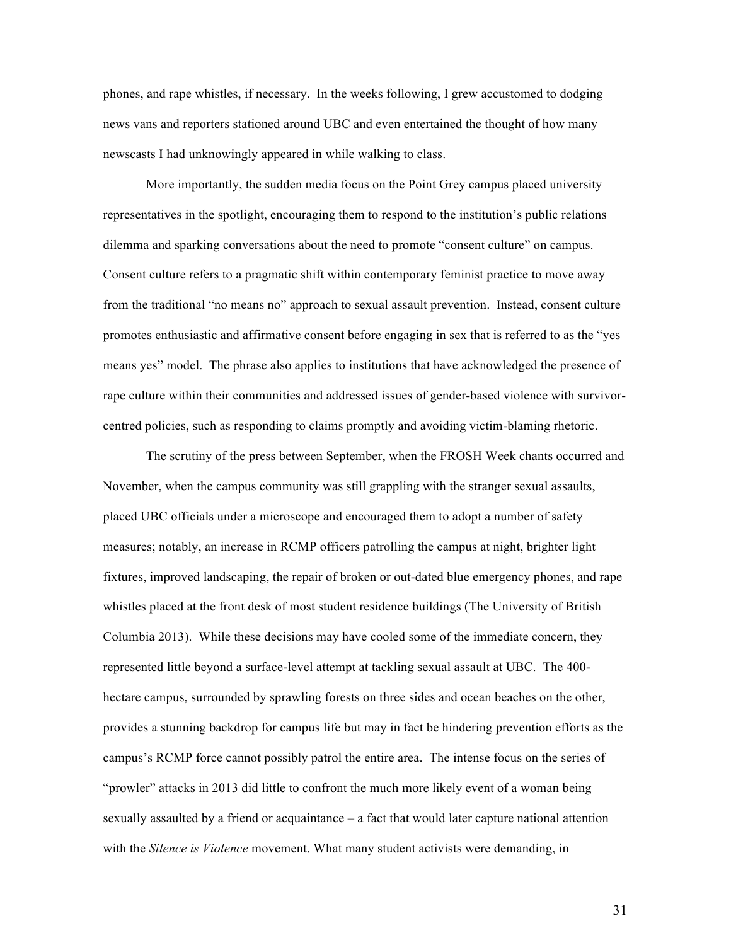phones, and rape whistles, if necessary. In the weeks following, I grew accustomed to dodging news vans and reporters stationed around UBC and even entertained the thought of how many newscasts I had unknowingly appeared in while walking to class.

More importantly, the sudden media focus on the Point Grey campus placed university representatives in the spotlight, encouraging them to respond to the institution's public relations dilemma and sparking conversations about the need to promote "consent culture" on campus. Consent culture refers to a pragmatic shift within contemporary feminist practice to move away from the traditional "no means no" approach to sexual assault prevention. Instead, consent culture promotes enthusiastic and affirmative consent before engaging in sex that is referred to as the "yes means yes" model. The phrase also applies to institutions that have acknowledged the presence of rape culture within their communities and addressed issues of gender-based violence with survivorcentred policies, such as responding to claims promptly and avoiding victim-blaming rhetoric.

The scrutiny of the press between September, when the FROSH Week chants occurred and November, when the campus community was still grappling with the stranger sexual assaults, placed UBC officials under a microscope and encouraged them to adopt a number of safety measures; notably, an increase in RCMP officers patrolling the campus at night, brighter light fixtures, improved landscaping, the repair of broken or out-dated blue emergency phones, and rape whistles placed at the front desk of most student residence buildings (The University of British Columbia 2013). While these decisions may have cooled some of the immediate concern, they represented little beyond a surface-level attempt at tackling sexual assault at UBC. The 400 hectare campus, surrounded by sprawling forests on three sides and ocean beaches on the other, provides a stunning backdrop for campus life but may in fact be hindering prevention efforts as the campus's RCMP force cannot possibly patrol the entire area. The intense focus on the series of "prowler" attacks in 2013 did little to confront the much more likely event of a woman being sexually assaulted by a friend or acquaintance – a fact that would later capture national attention with the *Silence is Violence* movement. What many student activists were demanding, in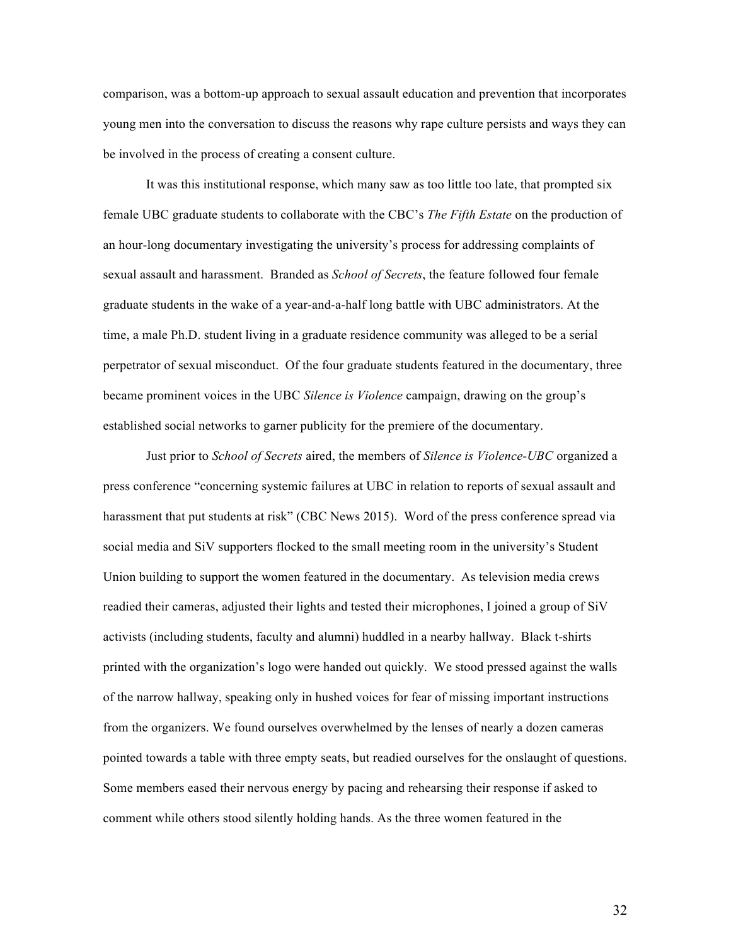comparison, was a bottom-up approach to sexual assault education and prevention that incorporates young men into the conversation to discuss the reasons why rape culture persists and ways they can be involved in the process of creating a consent culture.

It was this institutional response, which many saw as too little too late, that prompted six female UBC graduate students to collaborate with the CBC's *The Fifth Estate* on the production of an hour-long documentary investigating the university's process for addressing complaints of sexual assault and harassment. Branded as *School of Secrets*, the feature followed four female graduate students in the wake of a year-and-a-half long battle with UBC administrators. At the time, a male Ph.D. student living in a graduate residence community was alleged to be a serial perpetrator of sexual misconduct. Of the four graduate students featured in the documentary, three became prominent voices in the UBC *Silence is Violence* campaign, drawing on the group's established social networks to garner publicity for the premiere of the documentary.

Just prior to *School of Secrets* aired, the members of *Silence is Violence*-*UBC* organized a press conference "concerning systemic failures at UBC in relation to reports of sexual assault and harassment that put students at risk" (CBC News 2015). Word of the press conference spread via social media and SiV supporters flocked to the small meeting room in the university's Student Union building to support the women featured in the documentary. As television media crews readied their cameras, adjusted their lights and tested their microphones, I joined a group of SiV activists (including students, faculty and alumni) huddled in a nearby hallway. Black t-shirts printed with the organization's logo were handed out quickly. We stood pressed against the walls of the narrow hallway, speaking only in hushed voices for fear of missing important instructions from the organizers. We found ourselves overwhelmed by the lenses of nearly a dozen cameras pointed towards a table with three empty seats, but readied ourselves for the onslaught of questions. Some members eased their nervous energy by pacing and rehearsing their response if asked to comment while others stood silently holding hands. As the three women featured in the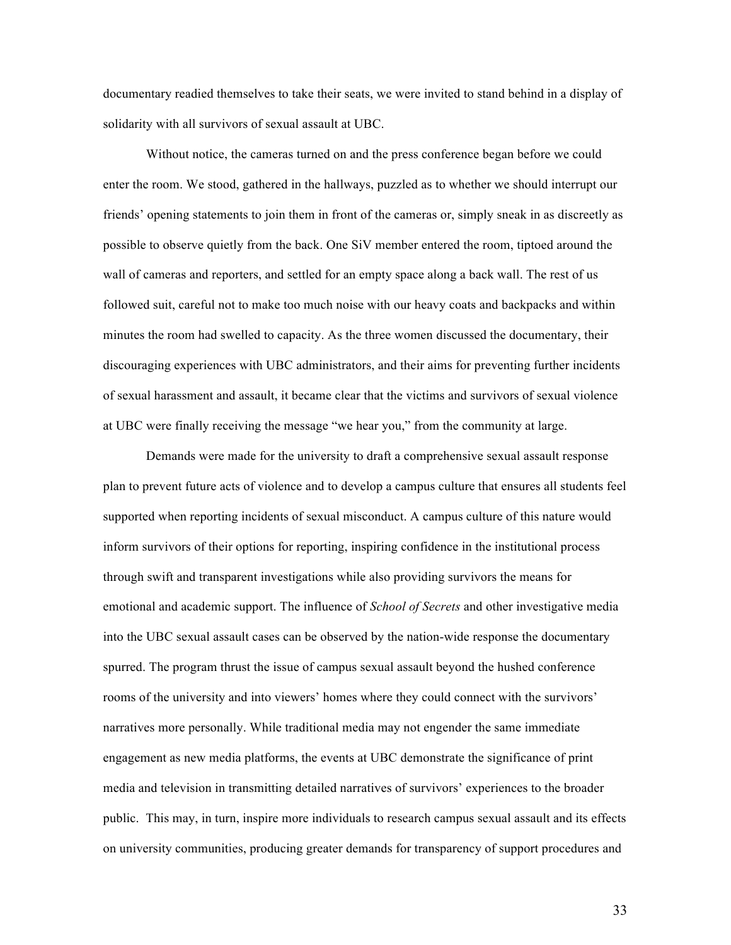documentary readied themselves to take their seats, we were invited to stand behind in a display of solidarity with all survivors of sexual assault at UBC.

Without notice, the cameras turned on and the press conference began before we could enter the room. We stood, gathered in the hallways, puzzled as to whether we should interrupt our friends' opening statements to join them in front of the cameras or, simply sneak in as discreetly as possible to observe quietly from the back. One SiV member entered the room, tiptoed around the wall of cameras and reporters, and settled for an empty space along a back wall. The rest of us followed suit, careful not to make too much noise with our heavy coats and backpacks and within minutes the room had swelled to capacity. As the three women discussed the documentary, their discouraging experiences with UBC administrators, and their aims for preventing further incidents of sexual harassment and assault, it became clear that the victims and survivors of sexual violence at UBC were finally receiving the message "we hear you," from the community at large.

Demands were made for the university to draft a comprehensive sexual assault response plan to prevent future acts of violence and to develop a campus culture that ensures all students feel supported when reporting incidents of sexual misconduct. A campus culture of this nature would inform survivors of their options for reporting, inspiring confidence in the institutional process through swift and transparent investigations while also providing survivors the means for emotional and academic support. The influence of *School of Secrets* and other investigative media into the UBC sexual assault cases can be observed by the nation-wide response the documentary spurred. The program thrust the issue of campus sexual assault beyond the hushed conference rooms of the university and into viewers' homes where they could connect with the survivors' narratives more personally. While traditional media may not engender the same immediate engagement as new media platforms, the events at UBC demonstrate the significance of print media and television in transmitting detailed narratives of survivors' experiences to the broader public. This may, in turn, inspire more individuals to research campus sexual assault and its effects on university communities, producing greater demands for transparency of support procedures and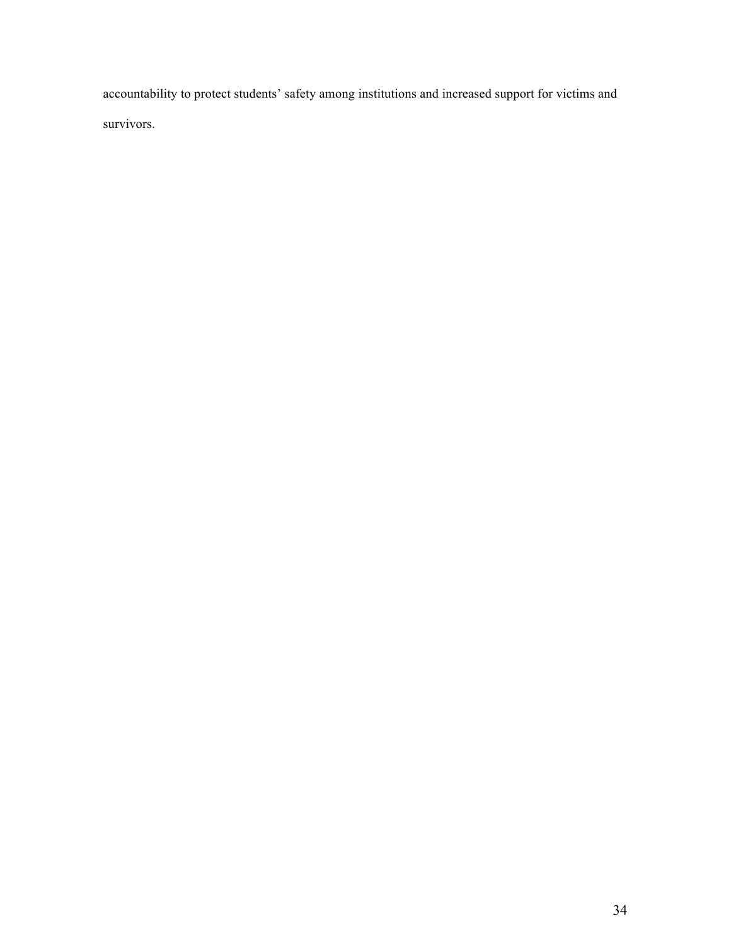accountability to protect students' safety among institutions and increased support for victims and survivors.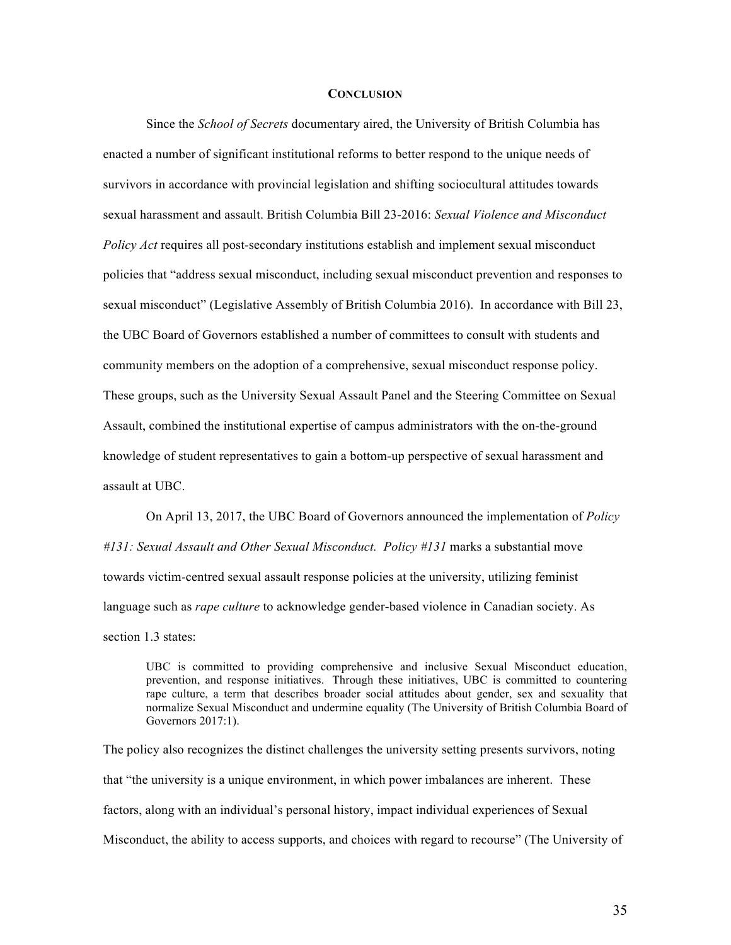#### **CONCLUSION**

Since the *School of Secrets* documentary aired, the University of British Columbia has enacted a number of significant institutional reforms to better respond to the unique needs of survivors in accordance with provincial legislation and shifting sociocultural attitudes towards sexual harassment and assault. British Columbia Bill 23-2016: *Sexual Violence and Misconduct Policy Act* requires all post-secondary institutions establish and implement sexual misconduct policies that "address sexual misconduct, including sexual misconduct prevention and responses to sexual misconduct" (Legislative Assembly of British Columbia 2016). In accordance with Bill 23, the UBC Board of Governors established a number of committees to consult with students and community members on the adoption of a comprehensive, sexual misconduct response policy. These groups, such as the University Sexual Assault Panel and the Steering Committee on Sexual Assault, combined the institutional expertise of campus administrators with the on-the-ground knowledge of student representatives to gain a bottom-up perspective of sexual harassment and assault at UBC.

On April 13, 2017, the UBC Board of Governors announced the implementation of *Policy #131: Sexual Assault and Other Sexual Misconduct. Policy #131* marks a substantial move towards victim-centred sexual assault response policies at the university, utilizing feminist language such as *rape culture* to acknowledge gender-based violence in Canadian society. As section 1.3 states:

UBC is committed to providing comprehensive and inclusive Sexual Misconduct education, prevention, and response initiatives. Through these initiatives, UBC is committed to countering rape culture, a term that describes broader social attitudes about gender, sex and sexuality that normalize Sexual Misconduct and undermine equality (The University of British Columbia Board of Governors 2017:1).

The policy also recognizes the distinct challenges the university setting presents survivors, noting that "the university is a unique environment, in which power imbalances are inherent. These factors, along with an individual's personal history, impact individual experiences of Sexual Misconduct, the ability to access supports, and choices with regard to recourse" (The University of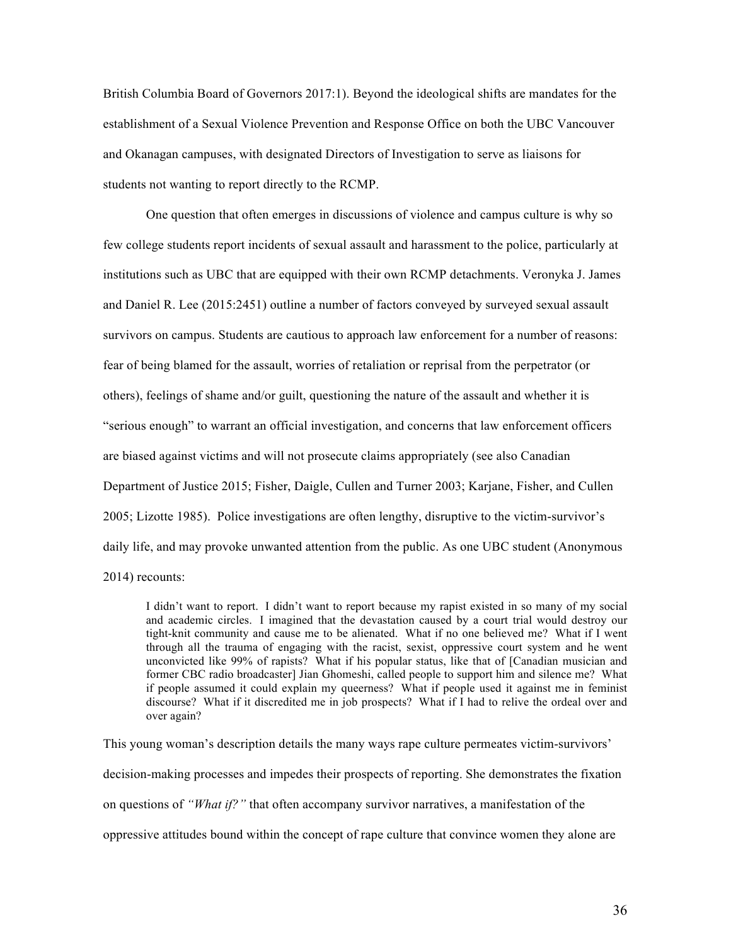British Columbia Board of Governors 2017:1). Beyond the ideological shifts are mandates for the establishment of a Sexual Violence Prevention and Response Office on both the UBC Vancouver and Okanagan campuses, with designated Directors of Investigation to serve as liaisons for students not wanting to report directly to the RCMP.

One question that often emerges in discussions of violence and campus culture is why so few college students report incidents of sexual assault and harassment to the police, particularly at institutions such as UBC that are equipped with their own RCMP detachments. Veronyka J. James and Daniel R. Lee (2015:2451) outline a number of factors conveyed by surveyed sexual assault survivors on campus. Students are cautious to approach law enforcement for a number of reasons: fear of being blamed for the assault, worries of retaliation or reprisal from the perpetrator (or others), feelings of shame and/or guilt, questioning the nature of the assault and whether it is "serious enough" to warrant an official investigation, and concerns that law enforcement officers are biased against victims and will not prosecute claims appropriately (see also Canadian Department of Justice 2015; Fisher, Daigle, Cullen and Turner 2003; Karjane, Fisher, and Cullen 2005; Lizotte 1985). Police investigations are often lengthy, disruptive to the victim-survivor's daily life, and may provoke unwanted attention from the public. As one UBC student (Anonymous 2014) recounts:

I didn't want to report. I didn't want to report because my rapist existed in so many of my social and academic circles. I imagined that the devastation caused by a court trial would destroy our tight-knit community and cause me to be alienated. What if no one believed me? What if I went through all the trauma of engaging with the racist, sexist, oppressive court system and he went unconvicted like 99% of rapists? What if his popular status, like that of [Canadian musician and former CBC radio broadcaster] Jian Ghomeshi, called people to support him and silence me? What if people assumed it could explain my queerness? What if people used it against me in feminist discourse? What if it discredited me in job prospects? What if I had to relive the ordeal over and over again?

This young woman's description details the many ways rape culture permeates victim-survivors' decision-making processes and impedes their prospects of reporting. She demonstrates the fixation on questions of *"What if?"* that often accompany survivor narratives, a manifestation of the oppressive attitudes bound within the concept of rape culture that convince women they alone are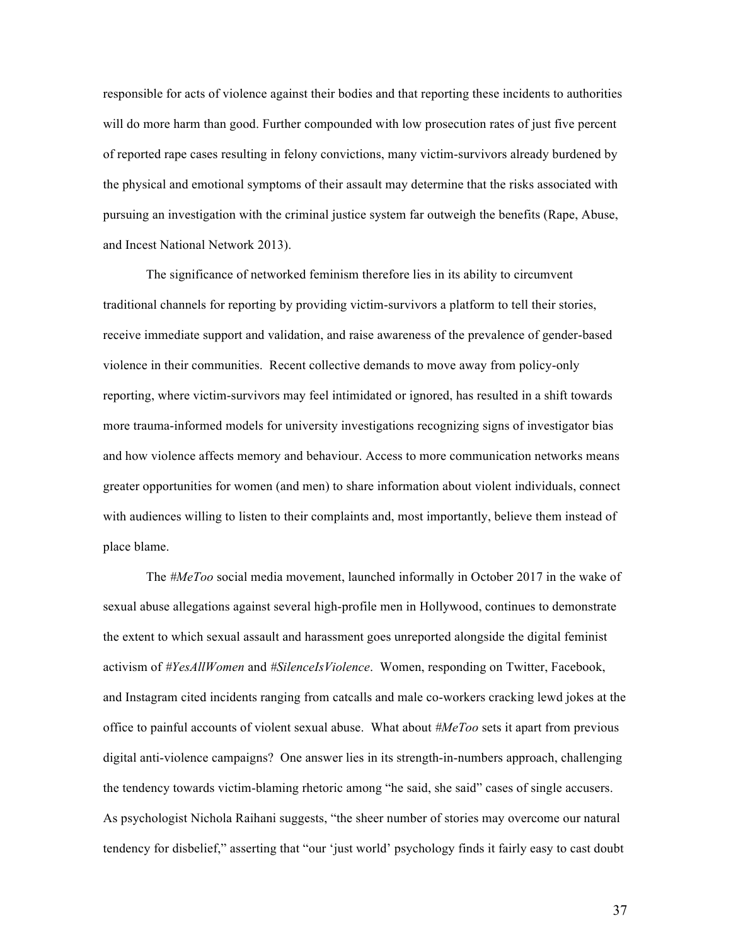responsible for acts of violence against their bodies and that reporting these incidents to authorities will do more harm than good. Further compounded with low prosecution rates of just five percent of reported rape cases resulting in felony convictions, many victim-survivors already burdened by the physical and emotional symptoms of their assault may determine that the risks associated with pursuing an investigation with the criminal justice system far outweigh the benefits (Rape, Abuse, and Incest National Network 2013).

The significance of networked feminism therefore lies in its ability to circumvent traditional channels for reporting by providing victim-survivors a platform to tell their stories, receive immediate support and validation, and raise awareness of the prevalence of gender-based violence in their communities. Recent collective demands to move away from policy-only reporting, where victim-survivors may feel intimidated or ignored, has resulted in a shift towards more trauma-informed models for university investigations recognizing signs of investigator bias and how violence affects memory and behaviour. Access to more communication networks means greater opportunities for women (and men) to share information about violent individuals, connect with audiences willing to listen to their complaints and, most importantly, believe them instead of place blame.

The *#MeToo* social media movement, launched informally in October 2017 in the wake of sexual abuse allegations against several high-profile men in Hollywood, continues to demonstrate the extent to which sexual assault and harassment goes unreported alongside the digital feminist activism of *#YesAllWomen* and *#SilenceIsViolence*. Women, responding on Twitter, Facebook, and Instagram cited incidents ranging from catcalls and male co-workers cracking lewd jokes at the office to painful accounts of violent sexual abuse. What about *#MeToo* sets it apart from previous digital anti-violence campaigns? One answer lies in its strength-in-numbers approach, challenging the tendency towards victim-blaming rhetoric among "he said, she said" cases of single accusers. As psychologist Nichola Raihani suggests, "the sheer number of stories may overcome our natural tendency for disbelief," asserting that "our 'just world' psychology finds it fairly easy to cast doubt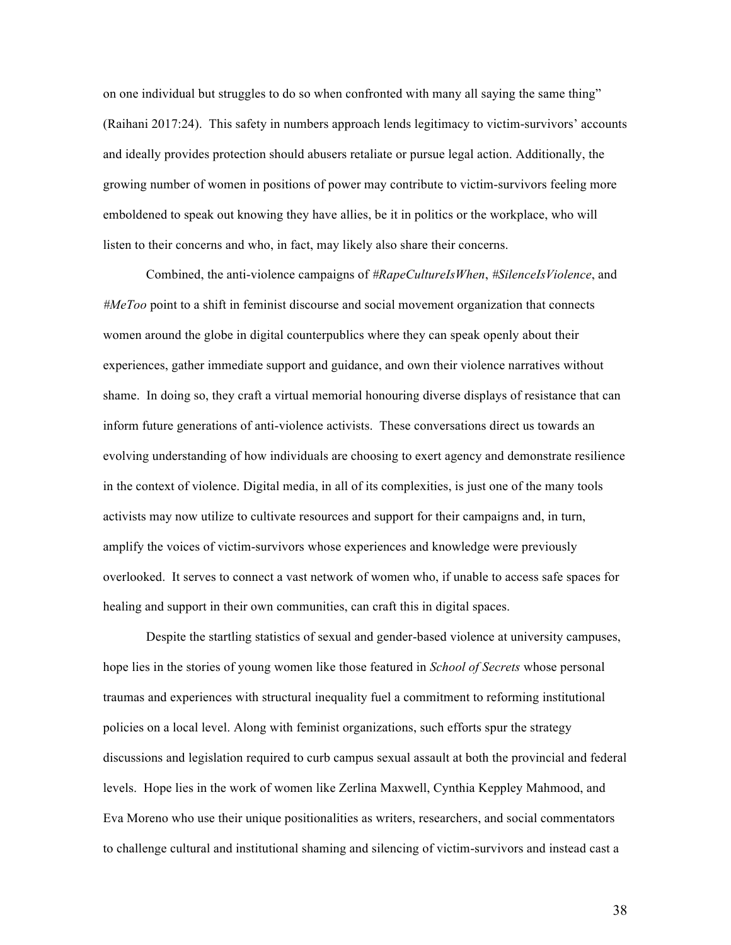on one individual but struggles to do so when confronted with many all saying the same thing" (Raihani 2017:24). This safety in numbers approach lends legitimacy to victim-survivors' accounts and ideally provides protection should abusers retaliate or pursue legal action. Additionally, the growing number of women in positions of power may contribute to victim-survivors feeling more emboldened to speak out knowing they have allies, be it in politics or the workplace, who will listen to their concerns and who, in fact, may likely also share their concerns.

Combined, the anti-violence campaigns of *#RapeCultureIsWhen*, *#SilenceIsViolence*, and *#MeToo* point to a shift in feminist discourse and social movement organization that connects women around the globe in digital counterpublics where they can speak openly about their experiences, gather immediate support and guidance, and own their violence narratives without shame. In doing so, they craft a virtual memorial honouring diverse displays of resistance that can inform future generations of anti-violence activists. These conversations direct us towards an evolving understanding of how individuals are choosing to exert agency and demonstrate resilience in the context of violence. Digital media, in all of its complexities, is just one of the many tools activists may now utilize to cultivate resources and support for their campaigns and, in turn, amplify the voices of victim-survivors whose experiences and knowledge were previously overlooked. It serves to connect a vast network of women who, if unable to access safe spaces for healing and support in their own communities, can craft this in digital spaces.

Despite the startling statistics of sexual and gender-based violence at university campuses, hope lies in the stories of young women like those featured in *School of Secrets* whose personal traumas and experiences with structural inequality fuel a commitment to reforming institutional policies on a local level. Along with feminist organizations, such efforts spur the strategy discussions and legislation required to curb campus sexual assault at both the provincial and federal levels. Hope lies in the work of women like Zerlina Maxwell, Cynthia Keppley Mahmood, and Eva Moreno who use their unique positionalities as writers, researchers, and social commentators to challenge cultural and institutional shaming and silencing of victim-survivors and instead cast a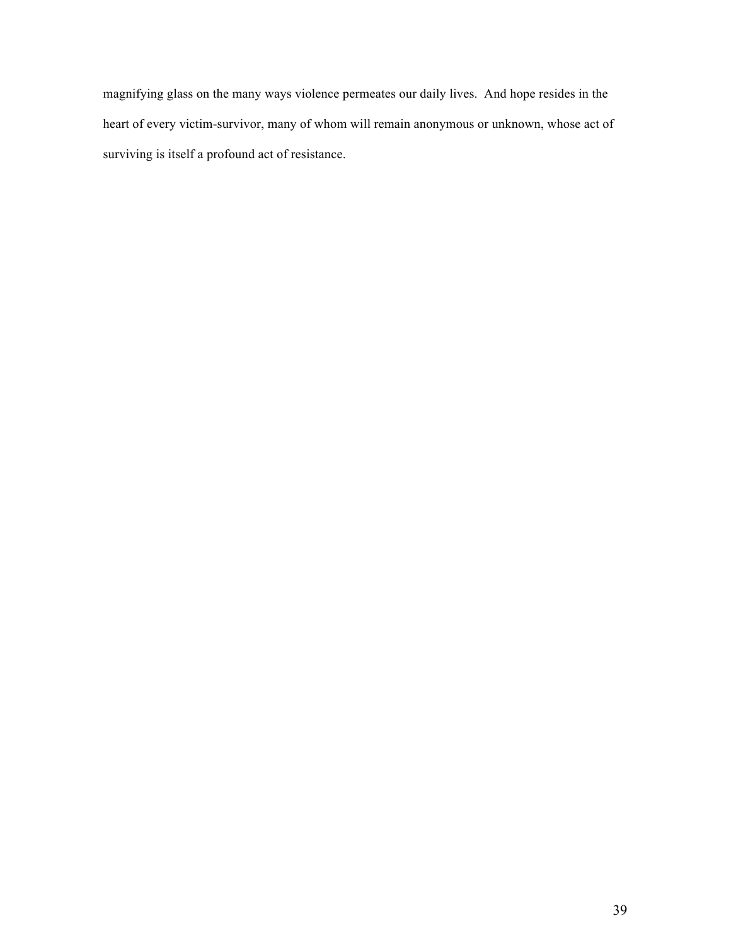magnifying glass on the many ways violence permeates our daily lives. And hope resides in the heart of every victim-survivor, many of whom will remain anonymous or unknown, whose act of surviving is itself a profound act of resistance.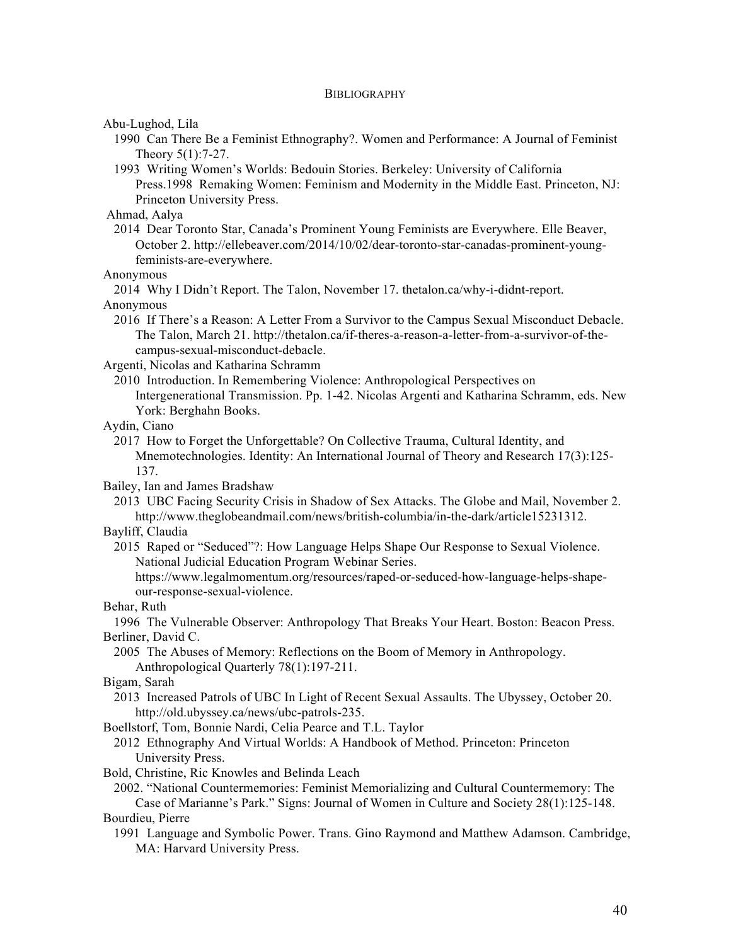## **BIBLIOGRAPHY**

Abu-Lughod, Lila

1990 Can There Be a Feminist Ethnography?. Women and Performance: A Journal of Feminist Theory 5(1):7-27.

1993 Writing Women's Worlds: Bedouin Stories. Berkeley: University of California Press.1998 Remaking Women: Feminism and Modernity in the Middle East. Princeton, NJ: Princeton University Press.

Ahmad, Aalya

2014 Dear Toronto Star, Canada's Prominent Young Feminists are Everywhere. Elle Beaver, October 2. http://ellebeaver.com/2014/10/02/dear-toronto-star-canadas-prominent-youngfeminists-are-everywhere.

Anonymous

2014 Why I Didn't Report. The Talon, November 17. thetalon.ca/why-i-didnt-report. Anonymous

2016 If There's a Reason: A Letter From a Survivor to the Campus Sexual Misconduct Debacle. The Talon, March 21. http://thetalon.ca/if-theres-a-reason-a-letter-from-a-survivor-of-thecampus-sexual-misconduct-debacle.

Argenti, Nicolas and Katharina Schramm

2010 Introduction. In Remembering Violence: Anthropological Perspectives on Intergenerational Transmission. Pp. 1-42. Nicolas Argenti and Katharina Schramm, eds. New York: Berghahn Books.

Aydin, Ciano

2017 How to Forget the Unforgettable? On Collective Trauma, Cultural Identity, and Mnemotechnologies. Identity: An International Journal of Theory and Research 17(3):125- 137.

Bailey, Ian and James Bradshaw

2013 UBC Facing Security Crisis in Shadow of Sex Attacks. The Globe and Mail, November 2. http://www.theglobeandmail.com/news/british-columbia/in-the-dark/article15231312.

Bayliff, Claudia

2015 Raped or "Seduced"?: How Language Helps Shape Our Response to Sexual Violence. National Judicial Education Program Webinar Series.

https://www.legalmomentum.org/resources/raped-or-seduced-how-language-helps-shapeour-response-sexual-violence.

Behar, Ruth

1996 The Vulnerable Observer: Anthropology That Breaks Your Heart. Boston: Beacon Press. Berliner, David C.

2005 The Abuses of Memory: Reflections on the Boom of Memory in Anthropology. Anthropological Quarterly 78(1):197-211.

Bigam, Sarah

2013 Increased Patrols of UBC In Light of Recent Sexual Assaults. The Ubyssey, October 20. http://old.ubyssey.ca/news/ubc-patrols-235.

Boellstorf, Tom, Bonnie Nardi, Celia Pearce and T.L. Taylor

2012 Ethnography And Virtual Worlds: A Handbook of Method. Princeton: Princeton University Press.

Bold, Christine, Ric Knowles and Belinda Leach

2002. "National Countermemories: Feminist Memorializing and Cultural Countermemory: The

Case of Marianne's Park." Signs: Journal of Women in Culture and Society 28(1):125-148. Bourdieu, Pierre

1991 Language and Symbolic Power. Trans. Gino Raymond and Matthew Adamson. Cambridge, MA: Harvard University Press.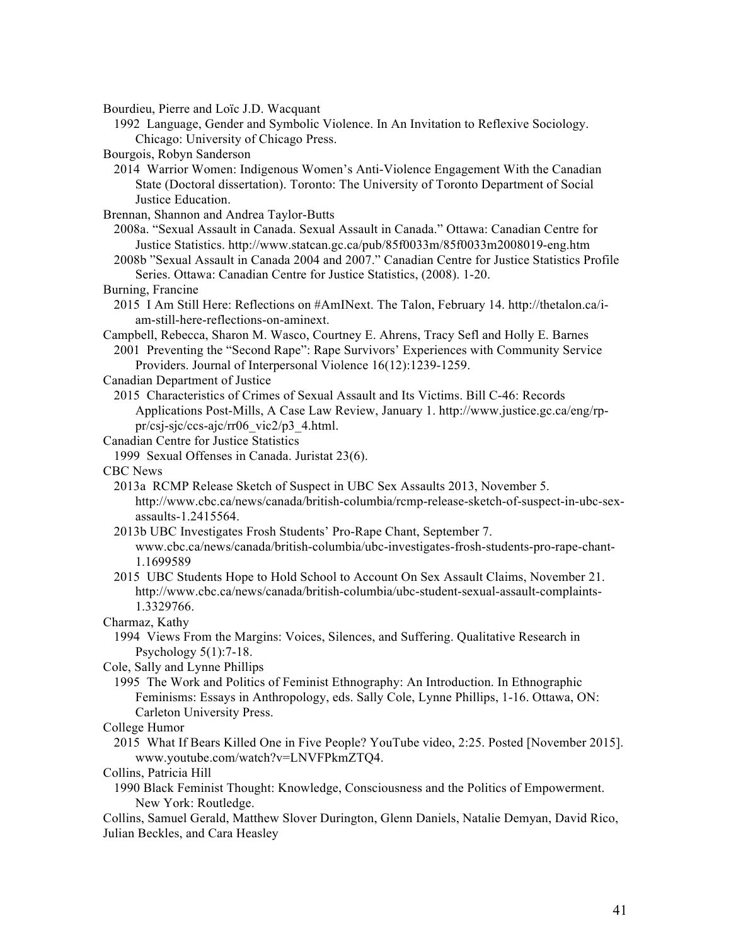Bourdieu, Pierre and Loïc J.D. Wacquant

1992 Language, Gender and Symbolic Violence. In An Invitation to Reflexive Sociology. Chicago: University of Chicago Press.

Bourgois, Robyn Sanderson

2014 Warrior Women: Indigenous Women's Anti-Violence Engagement With the Canadian State (Doctoral dissertation). Toronto: The University of Toronto Department of Social Justice Education.

Brennan, Shannon and Andrea Taylor-Butts

2008a. "Sexual Assault in Canada. Sexual Assault in Canada." Ottawa: Canadian Centre for Justice Statistics. http://www.statcan.gc.ca/pub/85f0033m/85f0033m2008019-eng.htm

2008b "Sexual Assault in Canada 2004 and 2007." Canadian Centre for Justice Statistics Profile Series. Ottawa: Canadian Centre for Justice Statistics, (2008). 1-20.

#### Burning, Francine

2015 I Am Still Here: Reflections on #AmINext. The Talon, February 14. http://thetalon.ca/iam-still-here-reflections-on-aminext.

Campbell, Rebecca, Sharon M. Wasco, Courtney E. Ahrens, Tracy Sefl and Holly E. Barnes 2001 Preventing the "Second Rape": Rape Survivors' Experiences with Community Service Providers. Journal of Interpersonal Violence 16(12):1239-1259.

Canadian Department of Justice

2015 Characteristics of Crimes of Sexual Assault and Its Victims. Bill C-46: Records Applications Post-Mills, A Case Law Review, January 1. http://www.justice.gc.ca/eng/rppr/csj-sjc/ccs-ajc/rr06\_vic2/p3\_4.html.

# Canadian Centre for Justice Statistics

1999 Sexual Offenses in Canada. Juristat 23(6).

CBC News

- 2013a RCMP Release Sketch of Suspect in UBC Sex Assaults 2013, November 5. http://www.cbc.ca/news/canada/british-columbia/rcmp-release-sketch-of-suspect-in-ubc-sexassaults-1.2415564.
- 2013b UBC Investigates Frosh Students' Pro-Rape Chant, September 7.
	- www.cbc.ca/news/canada/british-columbia/ubc-investigates-frosh-students-pro-rape-chant-1.1699589
- 2015 UBC Students Hope to Hold School to Account On Sex Assault Claims, November 21. http://www.cbc.ca/news/canada/british-columbia/ubc-student-sexual-assault-complaints-1.3329766.

Charmaz, Kathy

1994 Views From the Margins: Voices, Silences, and Suffering. Qualitative Research in Psychology 5(1):7-18.

Cole, Sally and Lynne Phillips

1995 The Work and Politics of Feminist Ethnography: An Introduction. In Ethnographic Feminisms: Essays in Anthropology, eds. Sally Cole, Lynne Phillips, 1-16. Ottawa, ON: Carleton University Press.

College Humor

2015 What If Bears Killed One in Five People? YouTube video, 2:25. Posted [November 2015]. www.youtube.com/watch?v=LNVFPkmZTQ4.

Collins, Patricia Hill

1990 Black Feminist Thought: Knowledge, Consciousness and the Politics of Empowerment. New York: Routledge.

Collins, Samuel Gerald, Matthew Slover Durington, Glenn Daniels, Natalie Demyan, David Rico, Julian Beckles, and Cara Heasley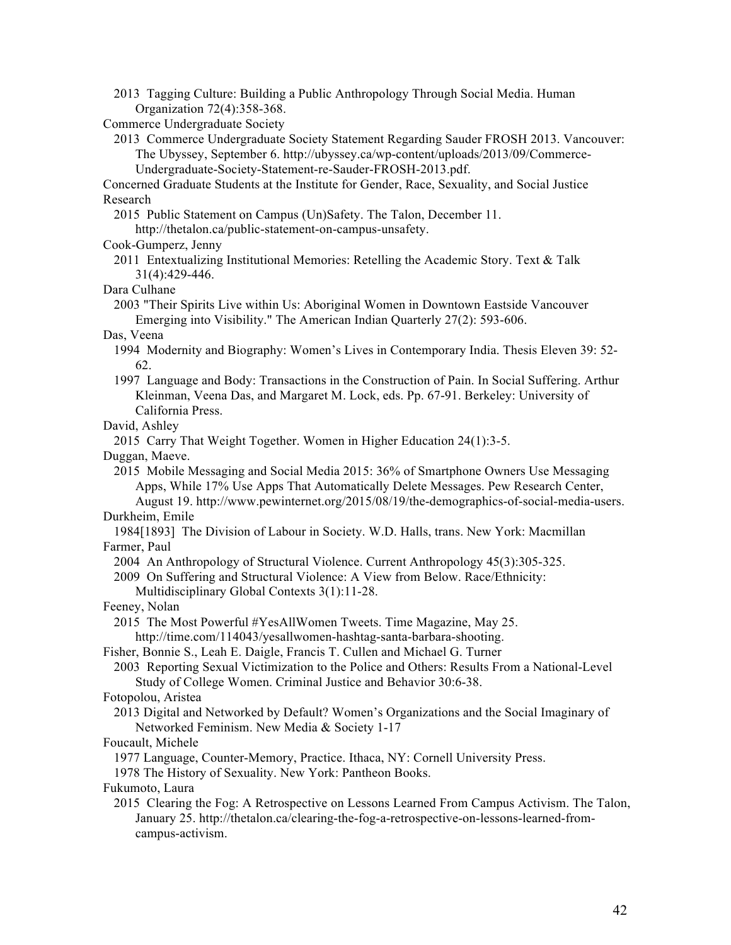- 2013 Tagging Culture: Building a Public Anthropology Through Social Media. Human Organization 72(4):358-368.
- Commerce Undergraduate Society
	- 2013 Commerce Undergraduate Society Statement Regarding Sauder FROSH 2013. Vancouver: The Ubyssey, September 6. http://ubyssey.ca/wp-content/uploads/2013/09/Commerce-Undergraduate-Society-Statement-re-Sauder-FROSH-2013.pdf.

Concerned Graduate Students at the Institute for Gender, Race, Sexuality, and Social Justice Research

2015 Public Statement on Campus (Un)Safety. The Talon, December 11.

http://thetalon.ca/public-statement-on-campus-unsafety.

- Cook-Gumperz, Jenny
	- 2011 Entextualizing Institutional Memories: Retelling the Academic Story. Text & Talk 31(4):429-446.
- Dara Culhane
	- 2003 "Their Spirits Live within Us: Aboriginal Women in Downtown Eastside Vancouver Emerging into Visibility." The American Indian Quarterly 27(2): 593-606.
- Das, Veena
	- 1994 Modernity and Biography: Women's Lives in Contemporary India. Thesis Eleven 39: 52- 62.
	- 1997 Language and Body: Transactions in the Construction of Pain. In Social Suffering. Arthur Kleinman, Veena Das, and Margaret M. Lock, eds. Pp. 67-91. Berkeley: University of California Press.

# David, Ashley

2015 Carry That Weight Together. Women in Higher Education 24(1):3-5.

Duggan, Maeve.

2015 Mobile Messaging and Social Media 2015: 36% of Smartphone Owners Use Messaging Apps, While 17% Use Apps That Automatically Delete Messages. Pew Research Center, August 19. http://www.pewinternet.org/2015/08/19/the-demographics-of-social-media-users.

## Durkheim, Emile

1984[1893] The Division of Labour in Society. W.D. Halls, trans. New York: Macmillan Farmer, Paul

2004 An Anthropology of Structural Violence. Current Anthropology 45(3):305-325.

- 2009 On Suffering and Structural Violence: A View from Below. Race/Ethnicity:
- Multidisciplinary Global Contexts 3(1):11-28.
- Feeney, Nolan

2015 The Most Powerful #YesAllWomen Tweets. Time Magazine, May 25. http://time.com/114043/yesallwomen-hashtag-santa-barbara-shooting.

Fisher, Bonnie S., Leah E. Daigle, Francis T. Cullen and Michael G. Turner

2003 Reporting Sexual Victimization to the Police and Others: Results From a National-Level Study of College Women. Criminal Justice and Behavior 30:6-38.

## Fotopolou, Aristea

2013 Digital and Networked by Default? Women's Organizations and the Social Imaginary of Networked Feminism. New Media & Society 1-17

Foucault, Michele

1977 Language, Counter-Memory, Practice. Ithaca, NY: Cornell University Press.

1978 The History of Sexuality. New York: Pantheon Books.

Fukumoto, Laura

2015 Clearing the Fog: A Retrospective on Lessons Learned From Campus Activism. The Talon, January 25. http://thetalon.ca/clearing-the-fog-a-retrospective-on-lessons-learned-fromcampus-activism.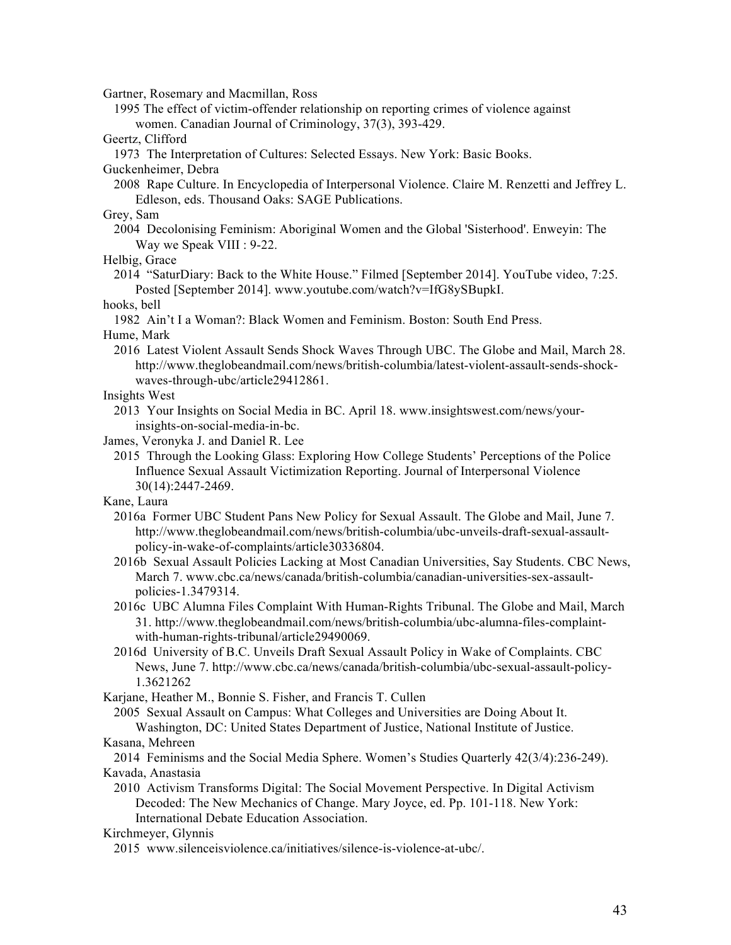Gartner, Rosemary and Macmillan, Ross

- 1995 The effect of victim-offender relationship on reporting crimes of violence against women. Canadian Journal of Criminology, 37(3), 393-429.
- Geertz, Clifford
- 1973 The Interpretation of Cultures: Selected Essays. New York: Basic Books.

Guckenheimer, Debra

2008 Rape Culture. In Encyclopedia of Interpersonal Violence. Claire M. Renzetti and Jeffrey L. Edleson, eds. Thousand Oaks: SAGE Publications.

# Grey, Sam

- 2004 Decolonising Feminism: Aboriginal Women and the Global 'Sisterhood'. Enweyin: The Way we Speak VIII : 9-22.
- Helbig, Grace
	- 2014 "SaturDiary: Back to the White House." Filmed [September 2014]. YouTube video, 7:25. Posted [September 2014]. www.youtube.com/watch?v=IfG8ySBupkI.
- hooks, bell
- 1982 Ain't I a Woman?: Black Women and Feminism. Boston: South End Press.
- Hume, Mark
	- 2016 Latest Violent Assault Sends Shock Waves Through UBC. The Globe and Mail, March 28. http://www.theglobeandmail.com/news/british-columbia/latest-violent-assault-sends-shockwaves-through-ubc/article29412861.
- Insights West
	- 2013 Your Insights on Social Media in BC. April 18. www.insightswest.com/news/yourinsights-on-social-media-in-bc.
- James, Veronyka J. and Daniel R. Lee
	- 2015 Through the Looking Glass: Exploring How College Students' Perceptions of the Police Influence Sexual Assault Victimization Reporting. Journal of Interpersonal Violence 30(14):2447-2469.

Kane, Laura

- 2016a Former UBC Student Pans New Policy for Sexual Assault. The Globe and Mail, June 7. http://www.theglobeandmail.com/news/british-columbia/ubc-unveils-draft-sexual-assaultpolicy-in-wake-of-complaints/article30336804.
- 2016b Sexual Assault Policies Lacking at Most Canadian Universities, Say Students. CBC News, March 7. www.cbc.ca/news/canada/british-columbia/canadian-universities-sex-assaultpolicies-1.3479314.
- 2016c UBC Alumna Files Complaint With Human-Rights Tribunal. The Globe and Mail, March 31. http://www.theglobeandmail.com/news/british-columbia/ubc-alumna-files-complaintwith-human-rights-tribunal/article29490069.
- 2016d University of B.C. Unveils Draft Sexual Assault Policy in Wake of Complaints. CBC News, June 7. http://www.cbc.ca/news/canada/british-columbia/ubc-sexual-assault-policy-1.3621262
- Karjane, Heather M., Bonnie S. Fisher, and Francis T. Cullen

2005 Sexual Assault on Campus: What Colleges and Universities are Doing About It. Washington, DC: United States Department of Justice, National Institute of Justice.

Kasana, Mehreen

2014 Feminisms and the Social Media Sphere. Women's Studies Quarterly 42(3/4):236-249). Kavada, Anastasia

2010 Activism Transforms Digital: The Social Movement Perspective. In Digital Activism Decoded: The New Mechanics of Change. Mary Joyce, ed. Pp. 101-118. New York: International Debate Education Association.

Kirchmeyer, Glynnis

2015 www.silenceisviolence.ca/initiatives/silence-is-violence-at-ubc/.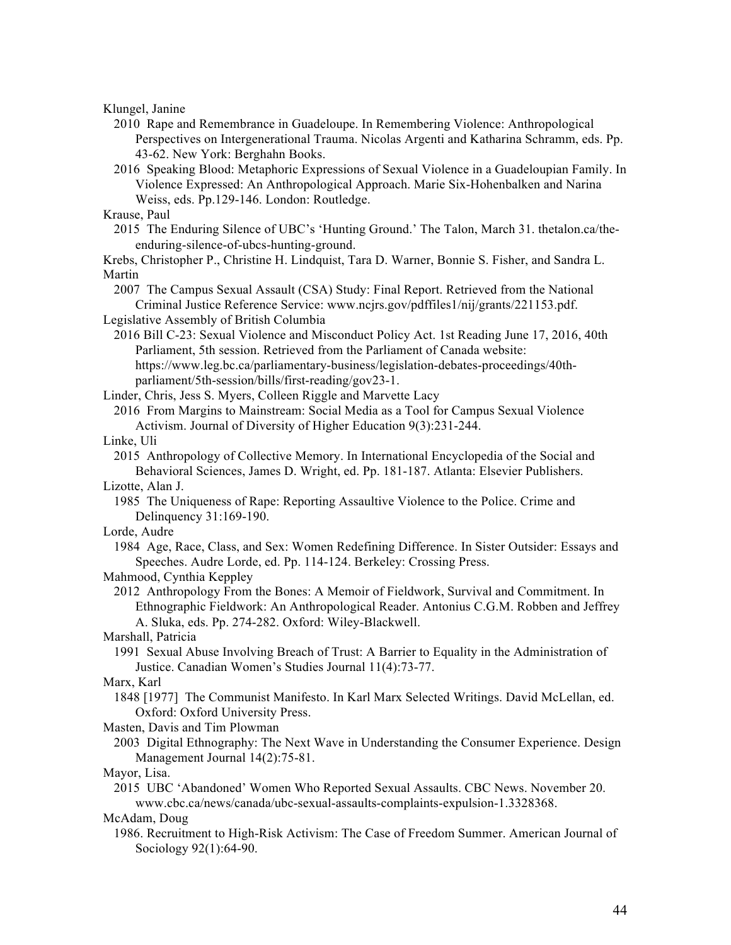Klungel, Janine

- 2010 Rape and Remembrance in Guadeloupe. In Remembering Violence: Anthropological Perspectives on Intergenerational Trauma. Nicolas Argenti and Katharina Schramm, eds. Pp. 43-62. New York: Berghahn Books.
- 2016 Speaking Blood: Metaphoric Expressions of Sexual Violence in a Guadeloupian Family. In Violence Expressed: An Anthropological Approach. Marie Six-Hohenbalken and Narina Weiss, eds. Pp.129-146. London: Routledge.
- Krause, Paul
	- 2015 The Enduring Silence of UBC's 'Hunting Ground.' The Talon, March 31. thetalon.ca/theenduring-silence-of-ubcs-hunting-ground.

Krebs, Christopher P., Christine H. Lindquist, Tara D. Warner, Bonnie S. Fisher, and Sandra L. Martin

2007 The Campus Sexual Assault (CSA) Study: Final Report. Retrieved from the National Criminal Justice Reference Service: www.ncjrs.gov/pdffiles1/nij/grants/221153.pdf.

```
Legislative Assembly of British Columbia
```
2016 Bill C-23: Sexual Violence and Misconduct Policy Act. 1st Reading June 17, 2016, 40th Parliament, 5th session. Retrieved from the Parliament of Canada website: https://www.leg.bc.ca/parliamentary-business/legislation-debates-proceedings/40thparliament/5th-session/bills/first-reading/gov23-1.

Linder, Chris, Jess S. Myers, Colleen Riggle and Marvette Lacy

2016 From Margins to Mainstream: Social Media as a Tool for Campus Sexual Violence Activism. Journal of Diversity of Higher Education 9(3):231-244.

Linke, Uli

2015 Anthropology of Collective Memory. In International Encyclopedia of the Social and Behavioral Sciences, James D. Wright, ed. Pp. 181-187. Atlanta: Elsevier Publishers.

- Lizotte, Alan J.
	- 1985 The Uniqueness of Rape: Reporting Assaultive Violence to the Police. Crime and Delinquency 31:169-190.
- Lorde, Audre
	- 1984 Age, Race, Class, and Sex: Women Redefining Difference. In Sister Outsider: Essays and Speeches. Audre Lorde, ed. Pp. 114-124. Berkeley: Crossing Press.

## Mahmood, Cynthia Keppley

2012 Anthropology From the Bones: A Memoir of Fieldwork, Survival and Commitment. In Ethnographic Fieldwork: An Anthropological Reader. Antonius C.G.M. Robben and Jeffrey A. Sluka, eds. Pp. 274-282. Oxford: Wiley-Blackwell.

Marshall, Patricia

1991 Sexual Abuse Involving Breach of Trust: A Barrier to Equality in the Administration of Justice. Canadian Women's Studies Journal 11(4):73-77.

Marx, Karl

1848 [1977] The Communist Manifesto. In Karl Marx Selected Writings. David McLellan, ed. Oxford: Oxford University Press.

Masten, Davis and Tim Plowman

2003 Digital Ethnography: The Next Wave in Understanding the Consumer Experience. Design Management Journal 14(2):75-81.

Mayor, Lisa.

2015 UBC 'Abandoned' Women Who Reported Sexual Assaults. CBC News. November 20. www.cbc.ca/news/canada/ubc-sexual-assaults-complaints-expulsion-1.3328368.

McAdam, Doug

1986. Recruitment to High-Risk Activism: The Case of Freedom Summer. American Journal of Sociology 92(1):64-90.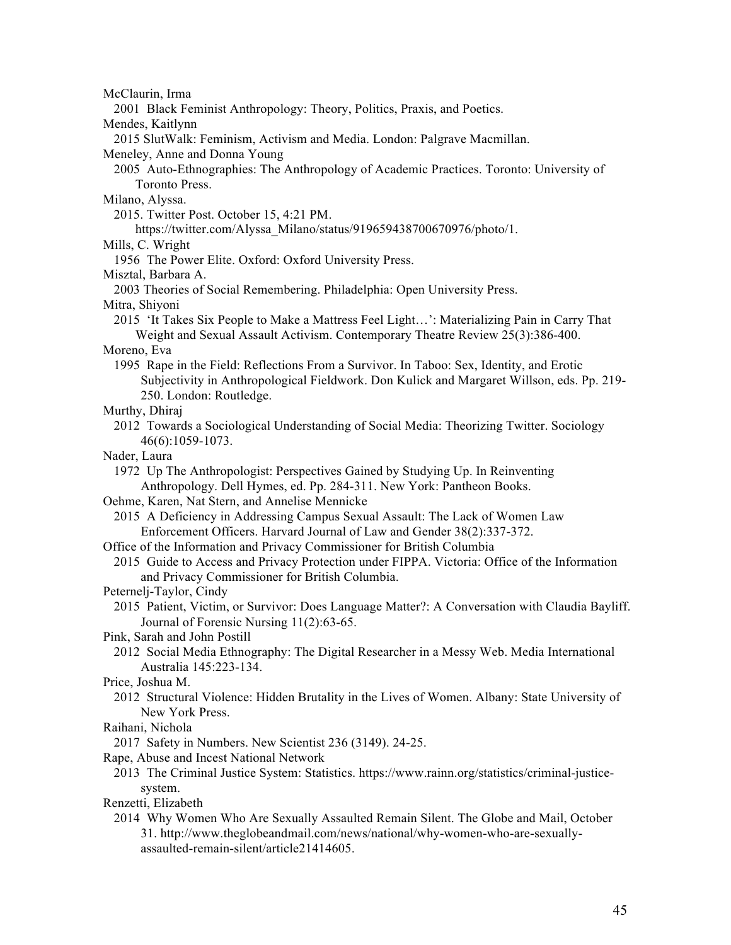McClaurin, Irma

2001 Black Feminist Anthropology: Theory, Politics, Praxis, and Poetics.

Mendes, Kaitlynn

2015 SlutWalk: Feminism, Activism and Media. London: Palgrave Macmillan.

Meneley, Anne and Donna Young

2005 Auto-Ethnographies: The Anthropology of Academic Practices. Toronto: University of Toronto Press.

Milano, Alyssa.

2015. Twitter Post. October 15, 4:21 PM.

https://twitter.com/Alyssa\_Milano/status/919659438700670976/photo/1.

Mills, C. Wright

1956 The Power Elite. Oxford: Oxford University Press.

Misztal, Barbara A.

2003 Theories of Social Remembering. Philadelphia: Open University Press.

Mitra, Shiyoni

2015 'It Takes Six People to Make a Mattress Feel Light…': Materializing Pain in Carry That Weight and Sexual Assault Activism. Contemporary Theatre Review 25(3):386-400.

## Moreno, Eva

1995 Rape in the Field: Reflections From a Survivor. In Taboo: Sex, Identity, and Erotic Subjectivity in Anthropological Fieldwork. Don Kulick and Margaret Willson, eds. Pp. 219- 250. London: Routledge.

- Murthy, Dhiraj
	- 2012 Towards a Sociological Understanding of Social Media: Theorizing Twitter. Sociology 46(6):1059-1073.
- Nader, Laura

1972 Up The Anthropologist: Perspectives Gained by Studying Up. In Reinventing Anthropology. Dell Hymes, ed. Pp. 284-311. New York: Pantheon Books.

Oehme, Karen, Nat Stern, and Annelise Mennicke

2015 A Deficiency in Addressing Campus Sexual Assault: The Lack of Women Law Enforcement Officers. Harvard Journal of Law and Gender 38(2):337-372.

- Office of the Information and Privacy Commissioner for British Columbia
	- 2015 Guide to Access and Privacy Protection under FIPPA. Victoria: Office of the Information and Privacy Commissioner for British Columbia.
- Peternelj-Taylor, Cindy
	- 2015 Patient, Victim, or Survivor: Does Language Matter?: A Conversation with Claudia Bayliff. Journal of Forensic Nursing 11(2):63-65.

Pink, Sarah and John Postill

2012 Social Media Ethnography: The Digital Researcher in a Messy Web. Media International Australia 145:223-134.

Price, Joshua M.

- 2012 Structural Violence: Hidden Brutality in the Lives of Women. Albany: State University of New York Press.
- Raihani, Nichola

2017 Safety in Numbers. New Scientist 236 (3149). 24-25.

- Rape, Abuse and Incest National Network
	- 2013 The Criminal Justice System: Statistics. https://www.rainn.org/statistics/criminal-justicesystem.

Renzetti, Elizabeth

2014 Why Women Who Are Sexually Assaulted Remain Silent. The Globe and Mail, October 31. http://www.theglobeandmail.com/news/national/why-women-who-are-sexuallyassaulted-remain-silent/article21414605.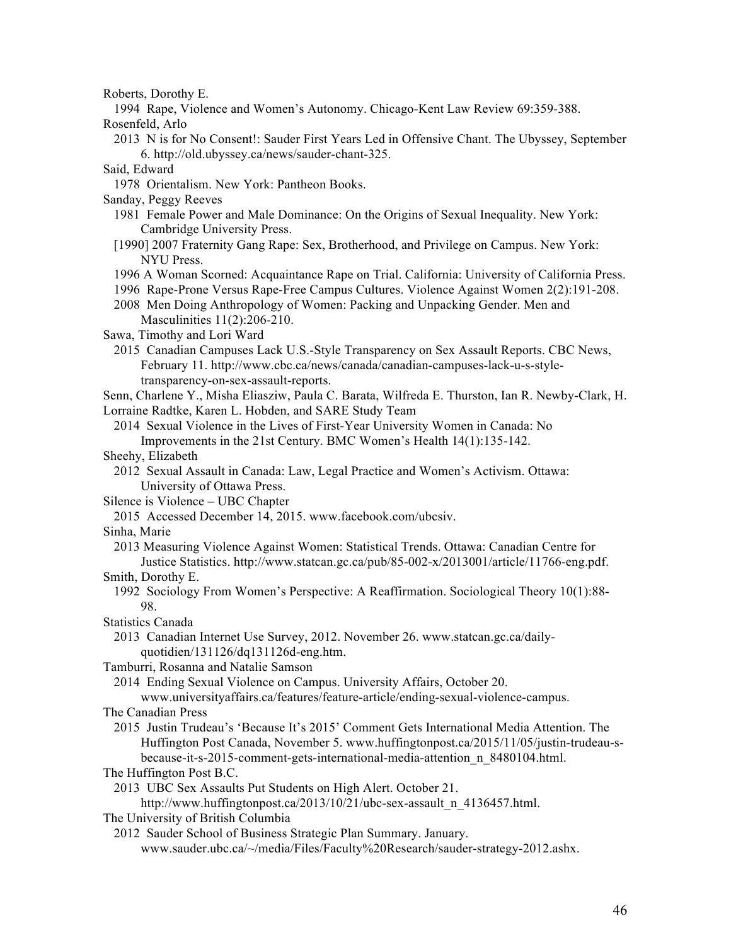Roberts, Dorothy E.

1994 Rape, Violence and Women's Autonomy. Chicago-Kent Law Review 69:359-388.

Rosenfeld, Arlo

2013 N is for No Consent!: Sauder First Years Led in Offensive Chant. The Ubyssey, September 6. http://old.ubyssey.ca/news/sauder-chant-325.

Said, Edward

1978 Orientalism. New York: Pantheon Books.

Sanday, Peggy Reeves

- 1981 Female Power and Male Dominance: On the Origins of Sexual Inequality. New York: Cambridge University Press.
- [1990] 2007 Fraternity Gang Rape: Sex, Brotherhood, and Privilege on Campus. New York: NYU Press.
- 1996 A Woman Scorned: Acquaintance Rape on Trial. California: University of California Press.
- 1996 Rape-Prone Versus Rape-Free Campus Cultures. Violence Against Women 2(2):191-208.
- 2008 Men Doing Anthropology of Women: Packing and Unpacking Gender. Men and Masculinities 11(2):206-210.

Sawa, Timothy and Lori Ward

- 2015 Canadian Campuses Lack U.S.-Style Transparency on Sex Assault Reports. CBC News, February 11. http://www.cbc.ca/news/canada/canadian-campuses-lack-u-s-styletransparency-on-sex-assault-reports.
- Senn, Charlene Y., Misha Eliasziw, Paula C. Barata, Wilfreda E. Thurston, Ian R. Newby-Clark, H. Lorraine Radtke, Karen L. Hobden, and SARE Study Team

2014 Sexual Violence in the Lives of First-Year University Women in Canada: No Improvements in the 21st Century. BMC Women's Health 14(1):135-142.

- 
- Sheehy, Elizabeth
	- 2012 Sexual Assault in Canada: Law, Legal Practice and Women's Activism. Ottawa: University of Ottawa Press.

Silence is Violence – UBC Chapter

2015 Accessed December 14, 2015. www.facebook.com/ubcsiv.

Sinha, Marie

2013 Measuring Violence Against Women: Statistical Trends. Ottawa: Canadian Centre for Justice Statistics. http://www.statcan.gc.ca/pub/85-002-x/2013001/article/11766-eng.pdf.

Smith, Dorothy E.

1992 Sociology From Women's Perspective: A Reaffirmation. Sociological Theory 10(1):88- 98.

Statistics Canada

2013 Canadian Internet Use Survey, 2012. November 26. www.statcan.gc.ca/dailyquotidien/131126/dq131126d-eng.htm.

Tamburri, Rosanna and Natalie Samson

2014 Ending Sexual Violence on Campus. University Affairs, October 20.

www.universityaffairs.ca/features/feature-article/ending-sexual-violence-campus.

The Canadian Press

2015 Justin Trudeau's 'Because It's 2015' Comment Gets International Media Attention. The Huffington Post Canada, November 5. www.huffingtonpost.ca/2015/11/05/justin-trudeau-sbecause-it-s-2015-comment-gets-international-media-attention\_n\_8480104.html.

The Huffington Post B.C.

2013 UBC Sex Assaults Put Students on High Alert. October 21.

http://www.huffingtonpost.ca/2013/10/21/ubc-sex-assault\_n\_4136457.html.

- The University of British Columbia
	- 2012 Sauder School of Business Strategic Plan Summary. January. www.sauder.ubc.ca/~/media/Files/Faculty%20Research/sauder-strategy-2012.ashx.